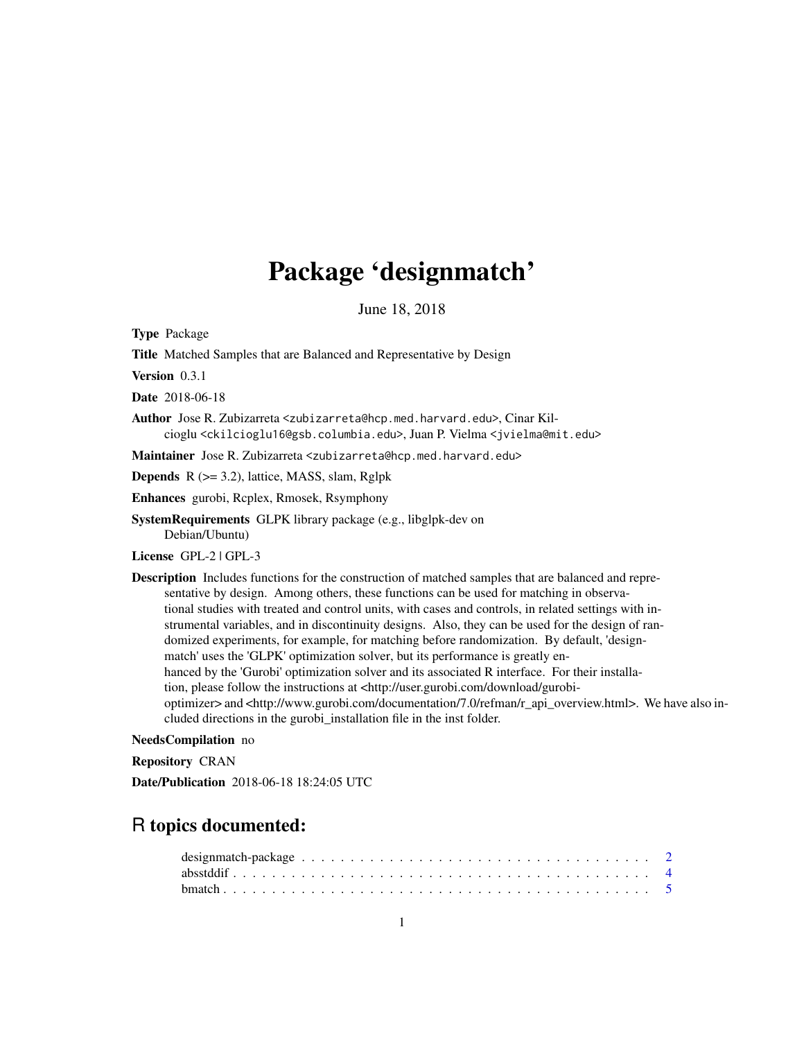# Package 'designmatch'

June 18, 2018

Type Package

Title Matched Samples that are Balanced and Representative by Design

Version 0.3.1

Date 2018-06-18

Author Jose R. Zubizarreta <zubizarreta@hcp.med.harvard.edu>, Cinar Kilcioglu <ckilcioglu16@gsb.columbia.edu>, Juan P. Vielma <jvielma@mit.edu>

Maintainer Jose R. Zubizarreta <zubizarreta@hcp.med.harvard.edu>

Depends R (>= 3.2), lattice, MASS, slam, Rglpk

Enhances gurobi, Rcplex, Rmosek, Rsymphony

SystemRequirements GLPK library package (e.g., libglpk-dev on Debian/Ubuntu)

License GPL-2 | GPL-3

Description Includes functions for the construction of matched samples that are balanced and representative by design. Among others, these functions can be used for matching in observational studies with treated and control units, with cases and controls, in related settings with instrumental variables, and in discontinuity designs. Also, they can be used for the design of randomized experiments, for example, for matching before randomization. By default, 'designmatch' uses the 'GLPK' optimization solver, but its performance is greatly enhanced by the 'Gurobi' optimization solver and its associated R interface. For their installation, please follow the instructions at <http://user.gurobi.com/download/gurobioptimizer> and <http://www.gurobi.com/documentation/7.0/refman/r\_api\_overview.html>. We have also included directions in the gurobi\_installation file in the inst folder.

#### NeedsCompilation no

Repository CRAN

Date/Publication 2018-06-18 18:24:05 UTC

# R topics documented: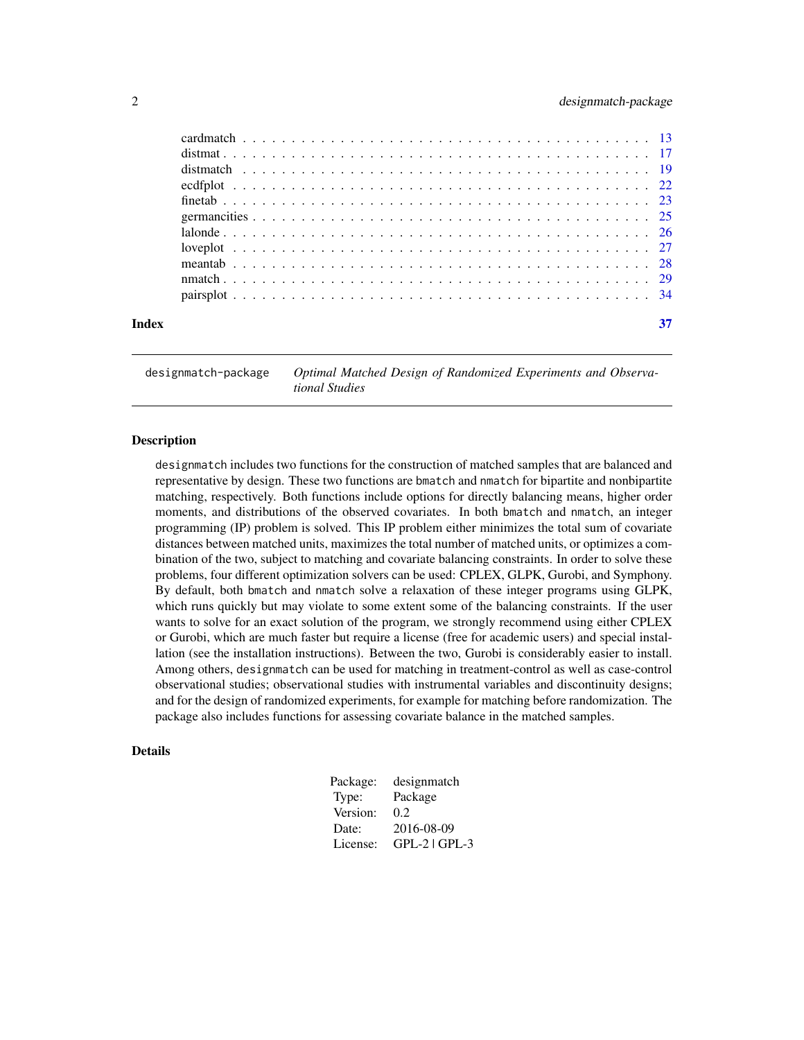<span id="page-1-0"></span>

| Index | 37 |
|-------|----|
|       |    |
|       |    |
|       |    |
|       |    |
|       |    |
|       |    |
|       |    |
|       |    |
|       |    |
|       |    |
|       |    |

designmatch-package *Optimal Matched Design of Randomized Experiments and Observational Studies*

# Description

designmatch includes two functions for the construction of matched samples that are balanced and representative by design. These two functions are bmatch and nmatch for bipartite and nonbipartite matching, respectively. Both functions include options for directly balancing means, higher order moments, and distributions of the observed covariates. In both bmatch and nmatch, an integer programming (IP) problem is solved. This IP problem either minimizes the total sum of covariate distances between matched units, maximizes the total number of matched units, or optimizes a combination of the two, subject to matching and covariate balancing constraints. In order to solve these problems, four different optimization solvers can be used: CPLEX, GLPK, Gurobi, and Symphony. By default, both bmatch and nmatch solve a relaxation of these integer programs using GLPK, which runs quickly but may violate to some extent some of the balancing constraints. If the user wants to solve for an exact solution of the program, we strongly recommend using either CPLEX or Gurobi, which are much faster but require a license (free for academic users) and special installation (see the installation instructions). Between the two, Gurobi is considerably easier to install. Among others, designmatch can be used for matching in treatment-control as well as case-control observational studies; observational studies with instrumental variables and discontinuity designs; and for the design of randomized experiments, for example for matching before randomization. The package also includes functions for assessing covariate balance in the matched samples.

# Details

| Package: | designmatch     |
|----------|-----------------|
| Type:    | Package         |
| Version: | 0.2             |
| Date:    | 2016-08-09      |
| License: | $GPL-2$ $GPL-3$ |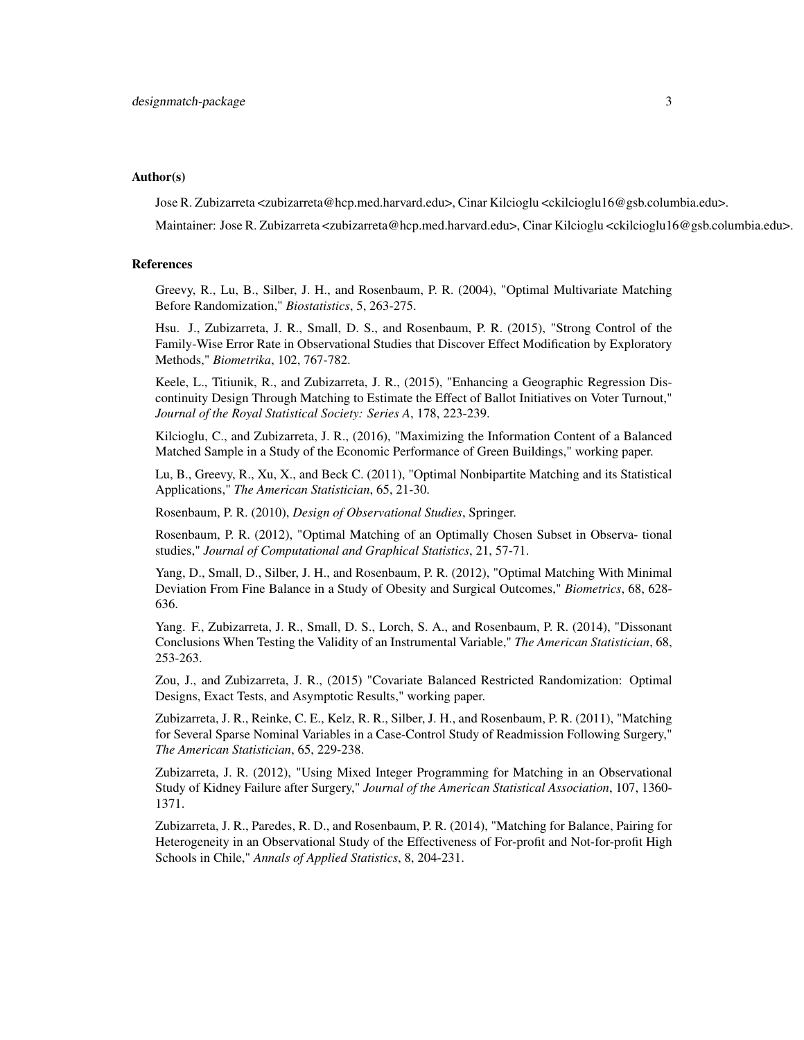# Author(s)

Jose R. Zubizarreta <zubizarreta@hcp.med.harvard.edu>, Cinar Kilcioglu <ckilcioglu16@gsb.columbia.edu>.

Maintainer: Jose R. Zubizarreta <zubizarreta@hcp.med.harvard.edu>, Cinar Kilcioglu <ckilcioglu16@gsb.columbia.edu>.

# References

Greevy, R., Lu, B., Silber, J. H., and Rosenbaum, P. R. (2004), "Optimal Multivariate Matching Before Randomization," *Biostatistics*, 5, 263-275.

Hsu. J., Zubizarreta, J. R., Small, D. S., and Rosenbaum, P. R. (2015), "Strong Control of the Family-Wise Error Rate in Observational Studies that Discover Effect Modification by Exploratory Methods," *Biometrika*, 102, 767-782.

Keele, L., Titiunik, R., and Zubizarreta, J. R., (2015), "Enhancing a Geographic Regression Discontinuity Design Through Matching to Estimate the Effect of Ballot Initiatives on Voter Turnout," *Journal of the Royal Statistical Society: Series A*, 178, 223-239.

Kilcioglu, C., and Zubizarreta, J. R., (2016), "Maximizing the Information Content of a Balanced Matched Sample in a Study of the Economic Performance of Green Buildings," working paper.

Lu, B., Greevy, R., Xu, X., and Beck C. (2011), "Optimal Nonbipartite Matching and its Statistical Applications," *The American Statistician*, 65, 21-30.

Rosenbaum, P. R. (2010), *Design of Observational Studies*, Springer.

Rosenbaum, P. R. (2012), "Optimal Matching of an Optimally Chosen Subset in Observa- tional studies," *Journal of Computational and Graphical Statistics*, 21, 57-71.

Yang, D., Small, D., Silber, J. H., and Rosenbaum, P. R. (2012), "Optimal Matching With Minimal Deviation From Fine Balance in a Study of Obesity and Surgical Outcomes," *Biometrics*, 68, 628- 636.

Yang. F., Zubizarreta, J. R., Small, D. S., Lorch, S. A., and Rosenbaum, P. R. (2014), "Dissonant Conclusions When Testing the Validity of an Instrumental Variable," *The American Statistician*, 68, 253-263.

Zou, J., and Zubizarreta, J. R., (2015) "Covariate Balanced Restricted Randomization: Optimal Designs, Exact Tests, and Asymptotic Results," working paper.

Zubizarreta, J. R., Reinke, C. E., Kelz, R. R., Silber, J. H., and Rosenbaum, P. R. (2011), "Matching for Several Sparse Nominal Variables in a Case-Control Study of Readmission Following Surgery," *The American Statistician*, 65, 229-238.

Zubizarreta, J. R. (2012), "Using Mixed Integer Programming for Matching in an Observational Study of Kidney Failure after Surgery," *Journal of the American Statistical Association*, 107, 1360- 1371.

Zubizarreta, J. R., Paredes, R. D., and Rosenbaum, P. R. (2014), "Matching for Balance, Pairing for Heterogeneity in an Observational Study of the Effectiveness of For-profit and Not-for-profit High Schools in Chile," *Annals of Applied Statistics*, 8, 204-231.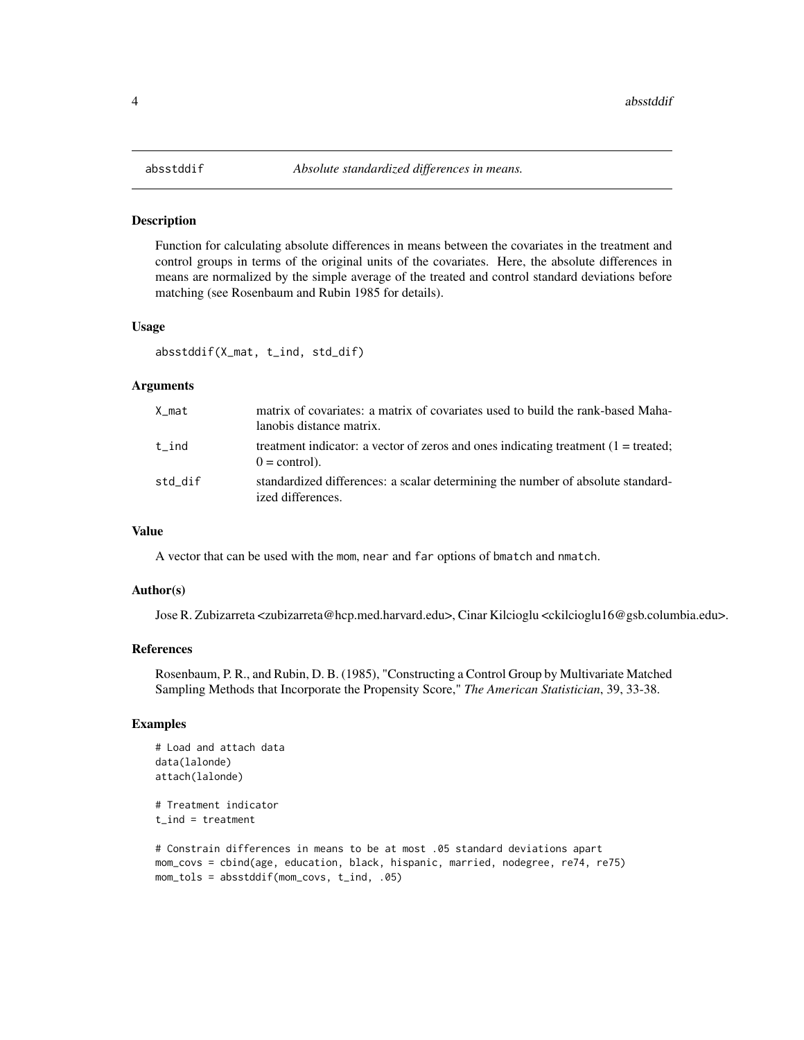<span id="page-3-0"></span>Function for calculating absolute differences in means between the covariates in the treatment and control groups in terms of the original units of the covariates. Here, the absolute differences in means are normalized by the simple average of the treated and control standard deviations before matching (see Rosenbaum and Rubin 1985 for details).

## Usage

absstddif(X\_mat, t\_ind, std\_dif)

# Arguments

| X mat   | matrix of covariates: a matrix of covariates used to build the rank-based Maha-<br>lanobis distance matrix.      |
|---------|------------------------------------------------------------------------------------------------------------------|
| t ind   | treatment indicator: a vector of zeros and ones indicating treatment $(1 = \text{treated})$ ;<br>$0 =$ control). |
| std dif | standardized differences: a scalar determining the number of absolute standard-<br>ized differences.             |

# Value

A vector that can be used with the mom, near and far options of bmatch and nmatch.

# Author(s)

Jose R. Zubizarreta <zubizarreta@hcp.med.harvard.edu>, Cinar Kilcioglu <ckilcioglu16@gsb.columbia.edu>.

# References

Rosenbaum, P. R., and Rubin, D. B. (1985), "Constructing a Control Group by Multivariate Matched Sampling Methods that Incorporate the Propensity Score," *The American Statistician*, 39, 33-38.

# Examples

```
# Load and attach data
data(lalonde)
attach(lalonde)
# Treatment indicator
```

```
t ind = treatment
```

```
# Constrain differences in means to be at most .05 standard deviations apart
mom_covs = cbind(age, education, black, hispanic, married, nodegree, re74, re75)
mom_tols = absstddif(mom_covs, t_ind, .05)
```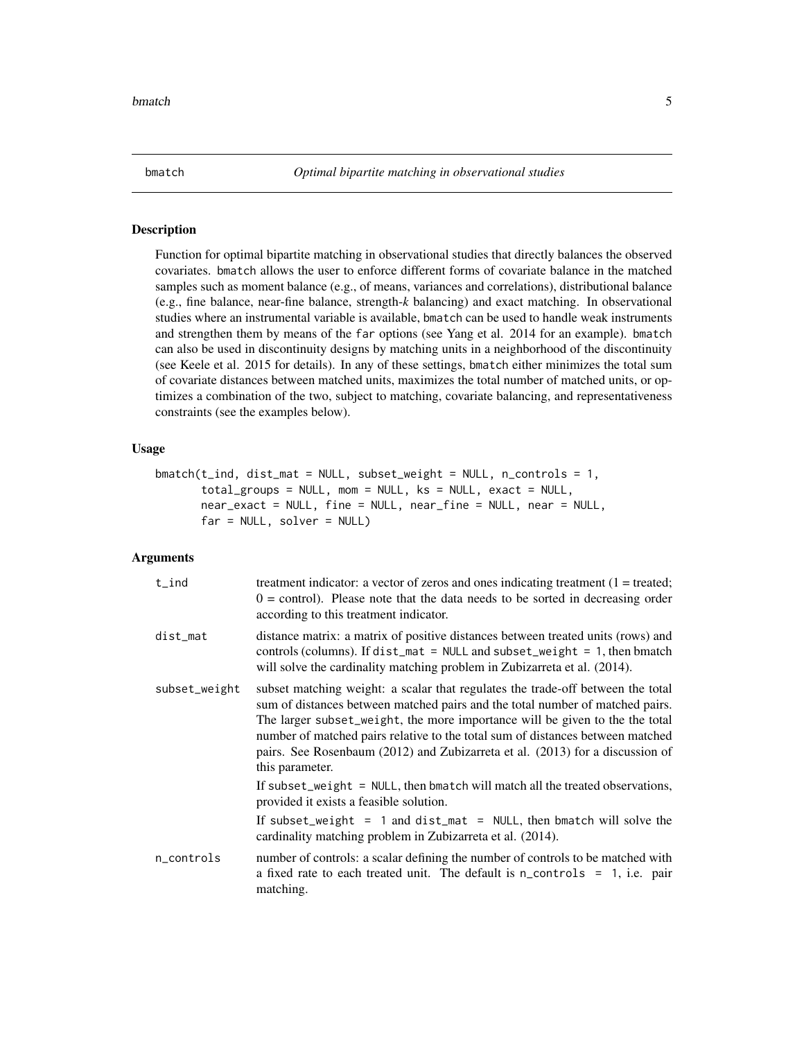<span id="page-4-0"></span>

Function for optimal bipartite matching in observational studies that directly balances the observed covariates. bmatch allows the user to enforce different forms of covariate balance in the matched samples such as moment balance (e.g., of means, variances and correlations), distributional balance (e.g., fine balance, near-fine balance, strength-*k* balancing) and exact matching. In observational studies where an instrumental variable is available, bmatch can be used to handle weak instruments and strengthen them by means of the far options (see Yang et al. 2014 for an example). bmatch can also be used in discontinuity designs by matching units in a neighborhood of the discontinuity (see Keele et al. 2015 for details). In any of these settings, bmatch either minimizes the total sum of covariate distances between matched units, maximizes the total number of matched units, or optimizes a combination of the two, subject to matching, covariate balancing, and representativeness constraints (see the examples below).

# Usage

```
bmatch(t_ind, dist_mat = NULL, subset_weight = NULL, n_controls = 1,
       total_groups = NULL, mom = NULL, ks = NULL, exact = NULL,
       near_exact = NULL, fine = NULL, near_fine = NULL, near = NULL,
       far = NULL, solver = NULL)
```
# Arguments

| $t$ _ind      | treatment indicator: a vector of zeros and ones indicating treatment $(1 = \text{treated})$ ;<br>$0 =$ control). Please note that the data needs to be sorted in decreasing order<br>according to this treatment indicator.                                                                                                                                                                                                            |
|---------------|----------------------------------------------------------------------------------------------------------------------------------------------------------------------------------------------------------------------------------------------------------------------------------------------------------------------------------------------------------------------------------------------------------------------------------------|
| dist_mat      | distance matrix: a matrix of positive distances between treated units (rows) and<br>controls (columns). If $dist_m$ = NULL and subset_weight = 1, then bmatch<br>will solve the cardinality matching problem in Zubizarreta et al. (2014).                                                                                                                                                                                             |
| subset_weight | subset matching weight: a scalar that regulates the trade-off between the total<br>sum of distances between matched pairs and the total number of matched pairs.<br>The larger subset_weight, the more importance will be given to the the total<br>number of matched pairs relative to the total sum of distances between matched<br>pairs. See Rosenbaum (2012) and Zubizarreta et al. (2013) for a discussion of<br>this parameter. |
|               | If subset_weight = $NULL$ , then bmatch will match all the treated observations,<br>provided it exists a feasible solution.                                                                                                                                                                                                                                                                                                            |
|               | If subset_weight = 1 and dist_mat = $NULL$ , then bmatch will solve the<br>cardinality matching problem in Zubizarreta et al. (2014).                                                                                                                                                                                                                                                                                                  |
| n_controls    | number of controls: a scalar defining the number of controls to be matched with<br>a fixed rate to each treated unit. The default is $n_{\text{controls}} = 1$ , i.e. pair<br>matching.                                                                                                                                                                                                                                                |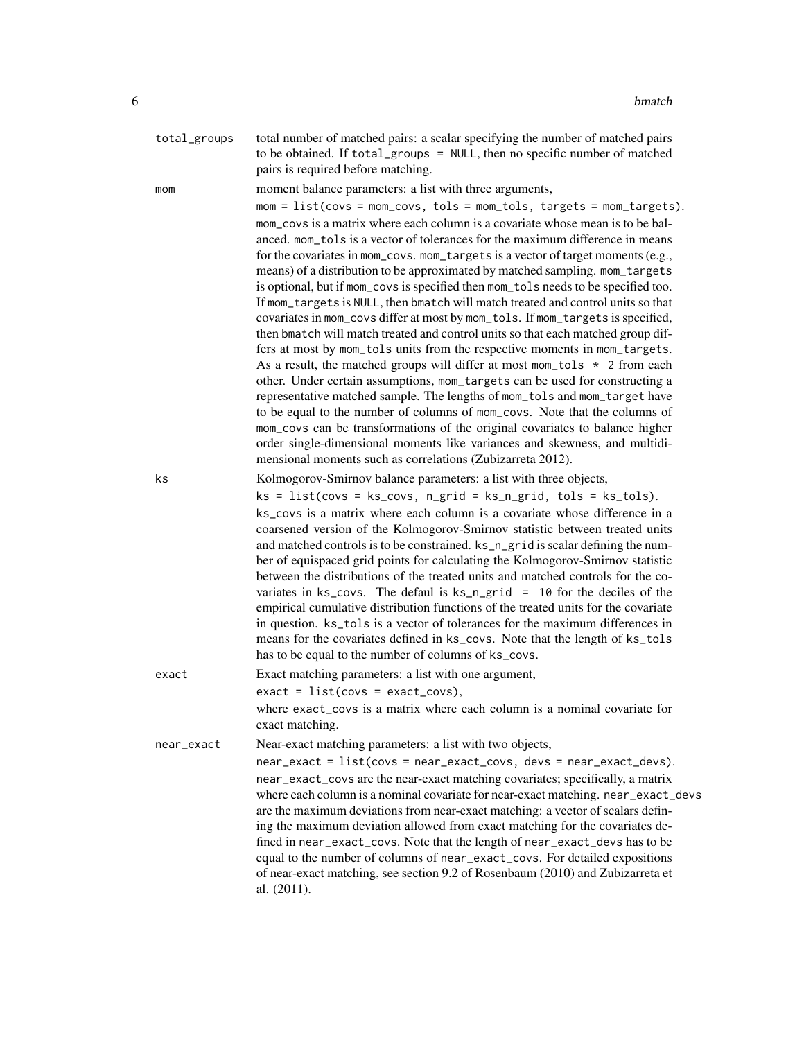| total_groups | total number of matched pairs: a scalar specifying the number of matched pairs |
|--------------|--------------------------------------------------------------------------------|
|              | to be obtained. If total_groups = NULL, then no specific number of matched     |
|              | pairs is required before matching.                                             |

mom moment balance parameters: a list with three arguments,

 $mom = list(covs = mom\_covs, tols = mom\_tols, targets = mom\_targest).$ mom\_covs is a matrix where each column is a covariate whose mean is to be balanced. mom\_tols is a vector of tolerances for the maximum difference in means for the covariates in mom\_covs. mom\_targets is a vector of target moments (e.g., means) of a distribution to be approximated by matched sampling. mom\_targets is optional, but if mom\_covs is specified then mom\_tols needs to be specified too. If mom\_targets is NULL, then bmatch will match treated and control units so that covariates in mom\_covs differ at most by mom\_tols. If mom\_targets is specified, then bmatch will match treated and control units so that each matched group differs at most by mom\_tols units from the respective moments in mom\_targets. As a result, the matched groups will differ at most mom\_tols  $\star$  2 from each other. Under certain assumptions, mom\_targets can be used for constructing a representative matched sample. The lengths of mom\_tols and mom\_target have to be equal to the number of columns of mom\_covs. Note that the columns of mom\_covs can be transformations of the original covariates to balance higher order single-dimensional moments like variances and skewness, and multidimensional moments such as correlations (Zubizarreta 2012).

ks Kolmogorov-Smirnov balance parameters: a list with three objects,

 $ks = list(covs = ks\_covs, n\_grid = ks_n\_grid, tols = ks\_tols).$ ks\_covs is a matrix where each column is a covariate whose difference in a coarsened version of the Kolmogorov-Smirnov statistic between treated units and matched controls is to be constrained. ks\_n\_grid is scalar defining the number of equispaced grid points for calculating the Kolmogorov-Smirnov statistic between the distributions of the treated units and matched controls for the covariates in ks\_covs. The defaul is ks\_n\_grid = 10 for the deciles of the empirical cumulative distribution functions of the treated units for the covariate in question. ks\_tols is a vector of tolerances for the maximum differences in means for the covariates defined in ks\_covs. Note that the length of ks\_tols has to be equal to the number of columns of ks\_covs.

exact Exact matching parameters: a list with one argument,  $exact = list(covs = exact_covs)$ , where exact\_covs is a matrix where each column is a nominal covariate for exact matching. near\_exact Near-exact matching parameters: a list with two objects, near\_exact = list(covs = near\_exact\_covs, devs = near\_exact\_devs).

near\_exact\_covs are the near-exact matching covariates; specifically, a matrix where each column is a nominal covariate for near-exact matching. near\_exact\_devs are the maximum deviations from near-exact matching: a vector of scalars defining the maximum deviation allowed from exact matching for the covariates defined in near\_exact\_covs. Note that the length of near\_exact\_devs has to be equal to the number of columns of near\_exact\_covs. For detailed expositions of near-exact matching, see section 9.2 of Rosenbaum (2010) and Zubizarreta et al. (2011).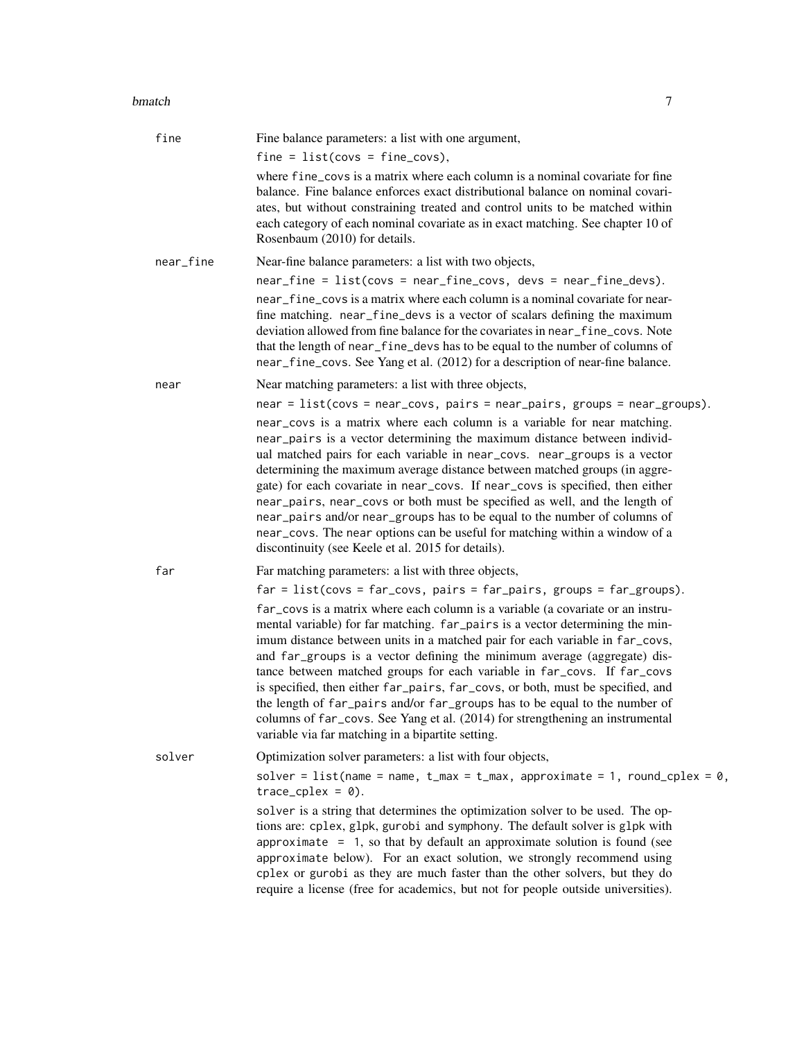#### bmatch 7 and 3 and 3 and 3 and 3 and 3 and 3 and 3 and 3 and 3 and 3 and 3 and 3 and 3 and 3 and 3 and 3 and 3 and 3 and 3 and 3 and 3 and 3 and 3 and 3 and 3 and 3 and 3 and 3 and 3 and 3 and 3 and 3 and 3 and 3 and 3 and

| fine      | Fine balance parameters: a list with one argument,                                                                                                                                                                                                                                                                                                                                                                                                                                                                                                                                                                                                                                                            |
|-----------|---------------------------------------------------------------------------------------------------------------------------------------------------------------------------------------------------------------------------------------------------------------------------------------------------------------------------------------------------------------------------------------------------------------------------------------------------------------------------------------------------------------------------------------------------------------------------------------------------------------------------------------------------------------------------------------------------------------|
|           | $fine = list(covs = fine_covs),$                                                                                                                                                                                                                                                                                                                                                                                                                                                                                                                                                                                                                                                                              |
|           | where fine_covs is a matrix where each column is a nominal covariate for fine<br>balance. Fine balance enforces exact distributional balance on nominal covari-<br>ates, but without constraining treated and control units to be matched within<br>each category of each nominal covariate as in exact matching. See chapter 10 of<br>Rosenbaum (2010) for details.                                                                                                                                                                                                                                                                                                                                          |
| near_fine | Near-fine balance parameters: a list with two objects,                                                                                                                                                                                                                                                                                                                                                                                                                                                                                                                                                                                                                                                        |
|           | $near\_fine = list(covs = near\_fine\_covs, devs = near\_fine\_devs).$                                                                                                                                                                                                                                                                                                                                                                                                                                                                                                                                                                                                                                        |
|           | near_fine_covs is a matrix where each column is a nominal covariate for near-<br>fine matching. near_fine_devs is a vector of scalars defining the maximum<br>deviation allowed from fine balance for the covariates in near_fine_covs. Note<br>that the length of near_fine_devs has to be equal to the number of columns of<br>near_fine_covs. See Yang et al. (2012) for a description of near-fine balance.                                                                                                                                                                                                                                                                                               |
| near      | Near matching parameters: a list with three objects,                                                                                                                                                                                                                                                                                                                                                                                                                                                                                                                                                                                                                                                          |
|           | $near = list(covs = near_covs, pairs = near_pairs, groups = near_groups).$                                                                                                                                                                                                                                                                                                                                                                                                                                                                                                                                                                                                                                    |
|           | near_covs is a matrix where each column is a variable for near matching.<br>near_pairs is a vector determining the maximum distance between individ-<br>ual matched pairs for each variable in near_covs. near_groups is a vector<br>determining the maximum average distance between matched groups (in aggre-<br>gate) for each covariate in near_covs. If near_covs is specified, then either<br>near_pairs, near_covs or both must be specified as well, and the length of<br>near_pairs and/or near_groups has to be equal to the number of columns of<br>near_covs. The near options can be useful for matching within a window of a<br>discontinuity (see Keele et al. 2015 for details).              |
| far       | Far matching parameters: a list with three objects,                                                                                                                                                                                                                                                                                                                                                                                                                                                                                                                                                                                                                                                           |
|           | $far = list(covs = far_covs, pairs = far_pairs, groups = far_groups).$                                                                                                                                                                                                                                                                                                                                                                                                                                                                                                                                                                                                                                        |
|           | far_covs is a matrix where each column is a variable (a covariate or an instru-<br>mental variable) for far matching. far_pairs is a vector determining the min-<br>imum distance between units in a matched pair for each variable in far_covs,<br>and far_groups is a vector defining the minimum average (aggregate) dis-<br>tance between matched groups for each variable in far_covs. If far_covs<br>is specified, then either far_pairs, far_covs, or both, must be specified, and<br>the length of far_pairs and/or far_groups has to be equal to the number of<br>columns of far_covs. See Yang et al. (2014) for strengthening an instrumental<br>variable via far matching in a bipartite setting. |
| solver    | Optimization solver parameters: a list with four objects,                                                                                                                                                                                                                                                                                                                                                                                                                                                                                                                                                                                                                                                     |
|           | solver = list(name = name, t_max = t_max, approximate = 1, round_cplex = $0$ ,<br>$trace_cplex = 0$ ).                                                                                                                                                                                                                                                                                                                                                                                                                                                                                                                                                                                                        |
|           | solver is a string that determines the optimization solver to be used. The op-<br>tions are: cplex, glpk, gurobi and symphony. The default solver is glpk with<br>approximate $= 1$ , so that by default an approximate solution is found (see<br>approximate below). For an exact solution, we strongly recommend using<br>cplex or gurobi as they are much faster than the other solvers, but they do<br>require a license (free for academics, but not for people outside universities).                                                                                                                                                                                                                   |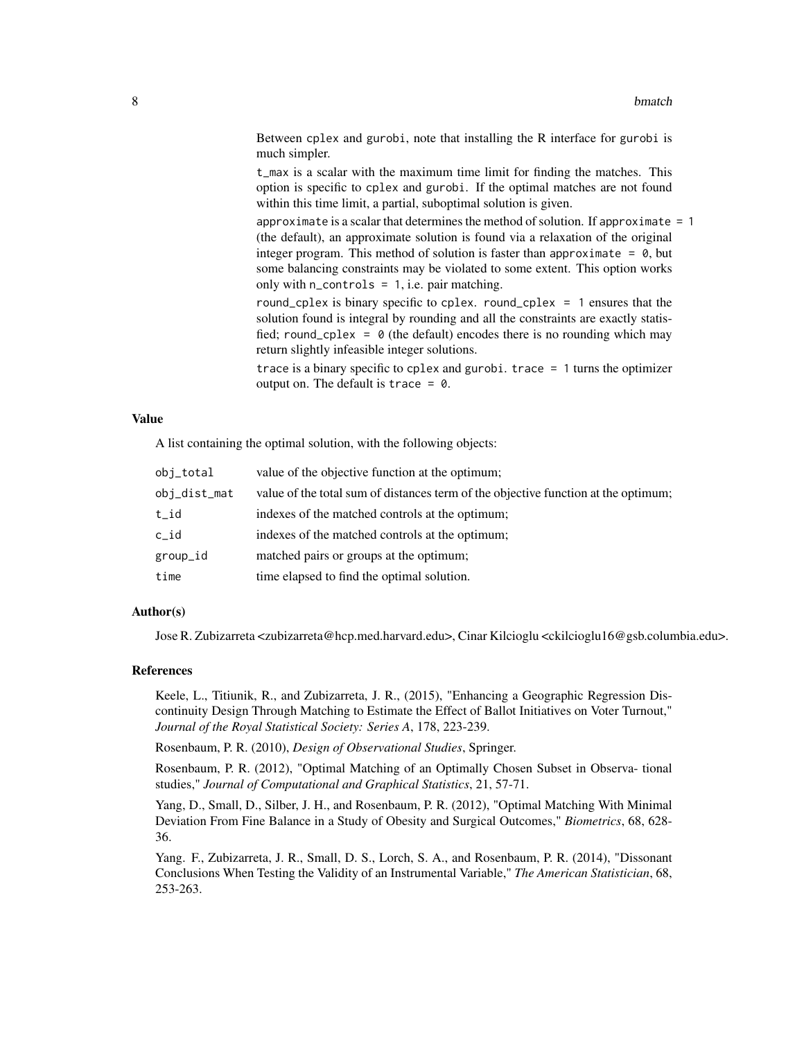Between cplex and gurobi, note that installing the R interface for gurobi is much simpler.

t\_max is a scalar with the maximum time limit for finding the matches. This option is specific to cplex and gurobi. If the optimal matches are not found within this time limit, a partial, suboptimal solution is given.

approximate is a scalar that determines the method of solution. If approximate  $= 1$ (the default), an approximate solution is found via a relaxation of the original integer program. This method of solution is faster than approximate =  $\theta$ , but some balancing constraints may be violated to some extent. This option works only with  $n_{\text{controls}} = 1$ , i.e. pair matching.

round\_cplex is binary specific to cplex. round\_cplex = 1 ensures that the solution found is integral by rounding and all the constraints are exactly statisfied; round\_cplex =  $\theta$  (the default) encodes there is no rounding which may return slightly infeasible integer solutions.

trace is a binary specific to cplex and gurobi. trace = 1 turns the optimizer output on. The default is trace =  $\theta$ .

# Value

A list containing the optimal solution, with the following objects:

| obj_total    | value of the objective function at the optimum;                                    |
|--------------|------------------------------------------------------------------------------------|
| obj_dist_mat | value of the total sum of distances term of the objective function at the optimum; |
| t_id         | indexes of the matched controls at the optimum;                                    |
| $c$ _id      | indexes of the matched controls at the optimum;                                    |
| group_id     | matched pairs or groups at the optimum;                                            |
| time         | time elapsed to find the optimal solution.                                         |

# Author(s)

Jose R. Zubizarreta <zubizarreta@hcp.med.harvard.edu>, Cinar Kilcioglu <ckilcioglu16@gsb.columbia.edu>.

# References

Keele, L., Titiunik, R., and Zubizarreta, J. R., (2015), "Enhancing a Geographic Regression Discontinuity Design Through Matching to Estimate the Effect of Ballot Initiatives on Voter Turnout," *Journal of the Royal Statistical Society: Series A*, 178, 223-239.

Rosenbaum, P. R. (2010), *Design of Observational Studies*, Springer.

Rosenbaum, P. R. (2012), "Optimal Matching of an Optimally Chosen Subset in Observa- tional studies," *Journal of Computational and Graphical Statistics*, 21, 57-71.

Yang, D., Small, D., Silber, J. H., and Rosenbaum, P. R. (2012), "Optimal Matching With Minimal Deviation From Fine Balance in a Study of Obesity and Surgical Outcomes," *Biometrics*, 68, 628- 36.

Yang. F., Zubizarreta, J. R., Small, D. S., Lorch, S. A., and Rosenbaum, P. R. (2014), "Dissonant Conclusions When Testing the Validity of an Instrumental Variable," *The American Statistician*, 68, 253-263.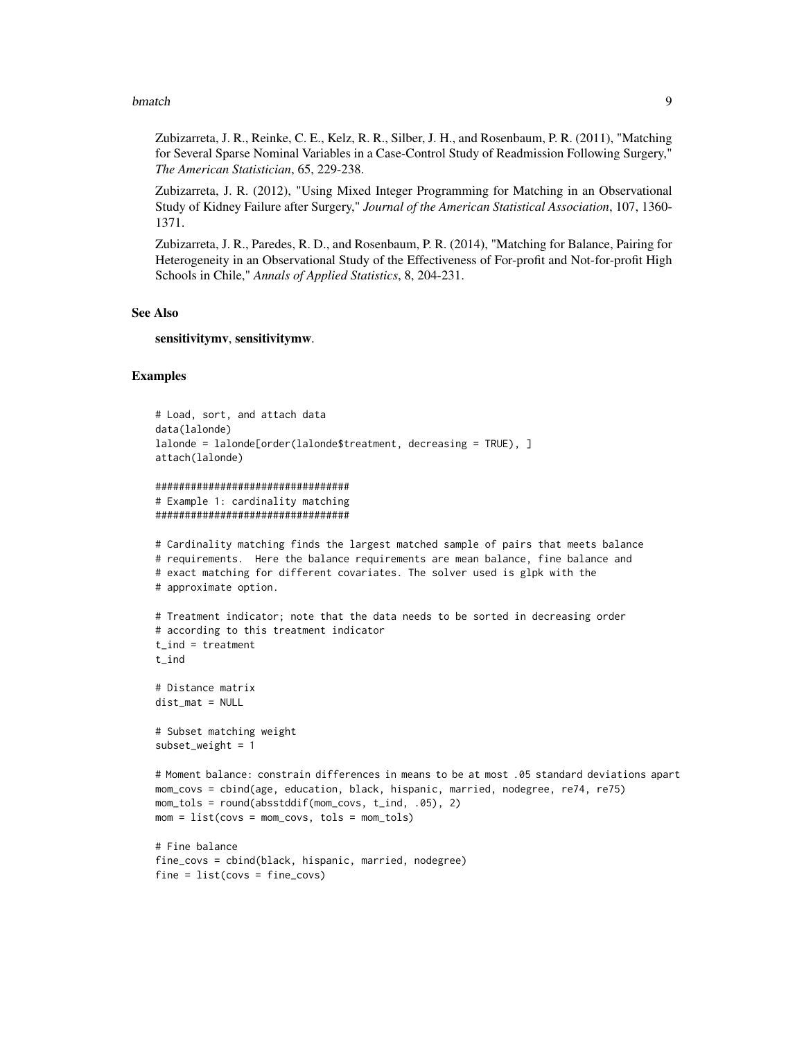### bmatch 9

Zubizarreta, J. R., Reinke, C. E., Kelz, R. R., Silber, J. H., and Rosenbaum, P. R. (2011), "Matching for Several Sparse Nominal Variables in a Case-Control Study of Readmission Following Surgery," *The American Statistician*, 65, 229-238.

Zubizarreta, J. R. (2012), "Using Mixed Integer Programming for Matching in an Observational Study of Kidney Failure after Surgery," *Journal of the American Statistical Association*, 107, 1360- 1371.

Zubizarreta, J. R., Paredes, R. D., and Rosenbaum, P. R. (2014), "Matching for Balance, Pairing for Heterogeneity in an Observational Study of the Effectiveness of For-profit and Not-for-profit High Schools in Chile," *Annals of Applied Statistics*, 8, 204-231.

# See Also

sensitivitymv, sensitivitymw.

# Examples

```
# Load, sort, and attach data
data(lalonde)
lalonde = lalonde[order(lalonde$treatment, decreasing = TRUE), ]
attach(lalonde)
```

```
#################################
# Example 1: cardinality matching
#################################
```

```
# Cardinality matching finds the largest matched sample of pairs that meets balance
# requirements. Here the balance requirements are mean balance, fine balance and
# exact matching for different covariates. The solver used is glpk with the
# approximate option.
# Treatment indicator; note that the data needs to be sorted in decreasing order
# according to this treatment indicator
```

```
t_ind = treatment
t_ind
# Distance matrix
```
dist\_mat = NULL

```
# Subset matching weight
subset<sub>-weight = 1</sub>
```

```
# Moment balance: constrain differences in means to be at most .05 standard deviations apart
mom_covs = cbind(age, education, black, hispanic, married, nodegree, re74, re75)
mom_tols = round(absstddif(mom_covs, t_ind, .05), 2)
mom = list(covs = mom\_covs, tols = mom\_tols)
```

```
# Fine balance
fine_covs = cbind(black, hispanic, married, nodegree)
fine = list(covs = fine_covs)
```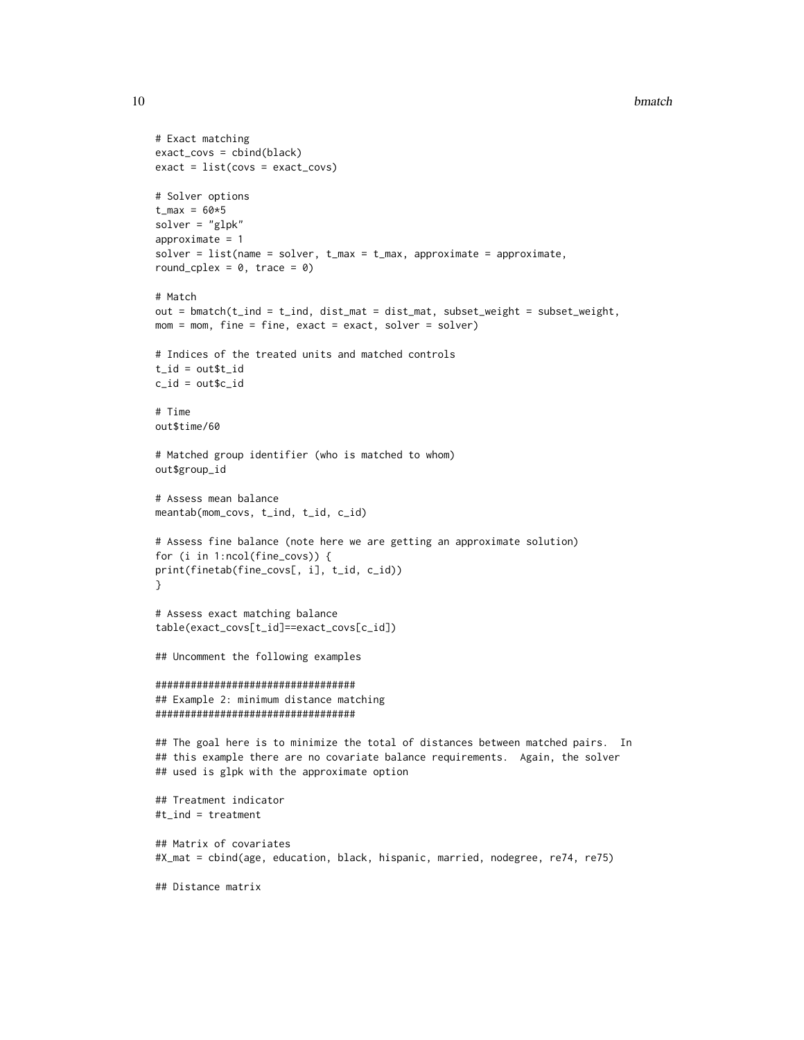#### 10 bmatch

```
# Exact matching
exact_covs = cbind(black)
exact = list(covs = exact_covs)
# Solver options
t_{max} = 60*5solver = "glpk"
approximate = 1solver = list(name = solver, t_max = t_max, approximate = approximate,round_cplex = 0, trace = 0)
# Match
out = bmatch(t\_ind = t\_ind, dist\_mat = dist\_mat, subset\_weight = subset\_weight,mom = mom, fine = fine, exact = exact, solver = solver)# Indices of the treated units and matched controls
t_id = out$t_idc_id = out$c_id
# Time
out$time/60
# Matched group identifier (who is matched to whom)
out$group_id
# Assess mean balance
meantab(mom_covs, t_ind, t_id, c_id)
# Assess fine balance (note here we are getting an approximate solution)
for (i in 1:ncol(fine_covs)) {
print(finetab(fine_covs[, i], t_id, c_id))
}
# Assess exact matching balance
table(exact_covs[t_id]==exact_covs[c_id])
## Uncomment the following examples
##################################
## Example 2: minimum distance matching
##################################
## The goal here is to minimize the total of distances between matched pairs. In
## this example there are no covariate balance requirements. Again, the solver
## used is glpk with the approximate option
## Treatment indicator
#t_ind = treatment
## Matrix of covariates
#X_mat = cbind(age, education, black, hispanic, married, nodegree, re74, re75)
## Distance matrix
```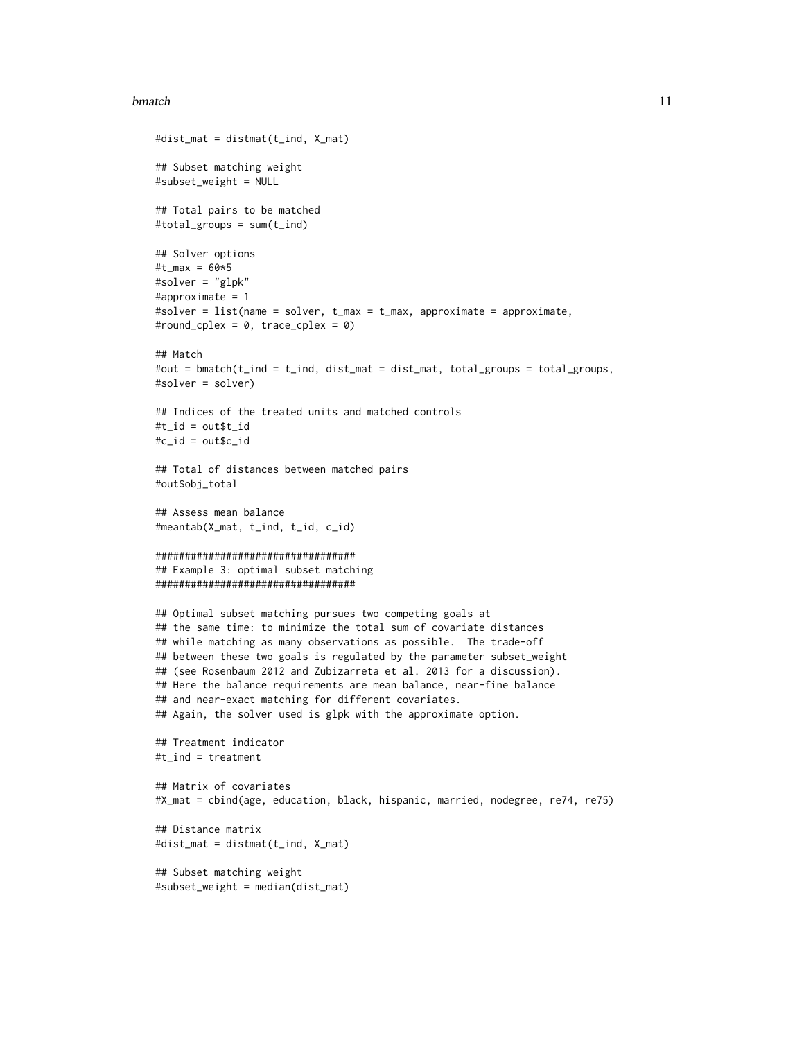#### bmatch 11

```
#dist_mat = distmat(t_ind, X_mat)
## Subset matching weight
#subset_weight = NULL
## Total pairs to be matched
#total_groups = sum(t_ind)
## Solver options
#t_max = 60*5#solver = "glpk"
#approximate = 1
#solver = list(name = solver, t_max = t_max, approximate = approximate,
#round_cplex = 0, trace_cplex = 0)
## Match
#out = bmatch(t_ind = t_ind, dist_mat = dist_mat, total_groups = total_groups,
#solver = solver)
## Indices of the treated units and matched controls
#t_id = out$t_id
#c_id = out$c_id
## Total of distances between matched pairs
#out$obj_total
## Assess mean balance
#meantab(X_mat, t_ind, t_id, c_id)
##################################
## Example 3: optimal subset matching
##################################
## Optimal subset matching pursues two competing goals at
## the same time: to minimize the total sum of covariate distances
## while matching as many observations as possible. The trade-off
## between these two goals is regulated by the parameter subset_weight
## (see Rosenbaum 2012 and Zubizarreta et al. 2013 for a discussion).
## Here the balance requirements are mean balance, near-fine balance
## and near-exact matching for different covariates.
## Again, the solver used is glpk with the approximate option.
## Treatment indicator
#t_ind = treatment
## Matrix of covariates
#X_mat = cbind(age, education, black, hispanic, married, nodegree, re74, re75)
## Distance matrix
#dist_mat = distmat(t_ind, X_mat)
## Subset matching weight
#subset_weight = median(dist_mat)
```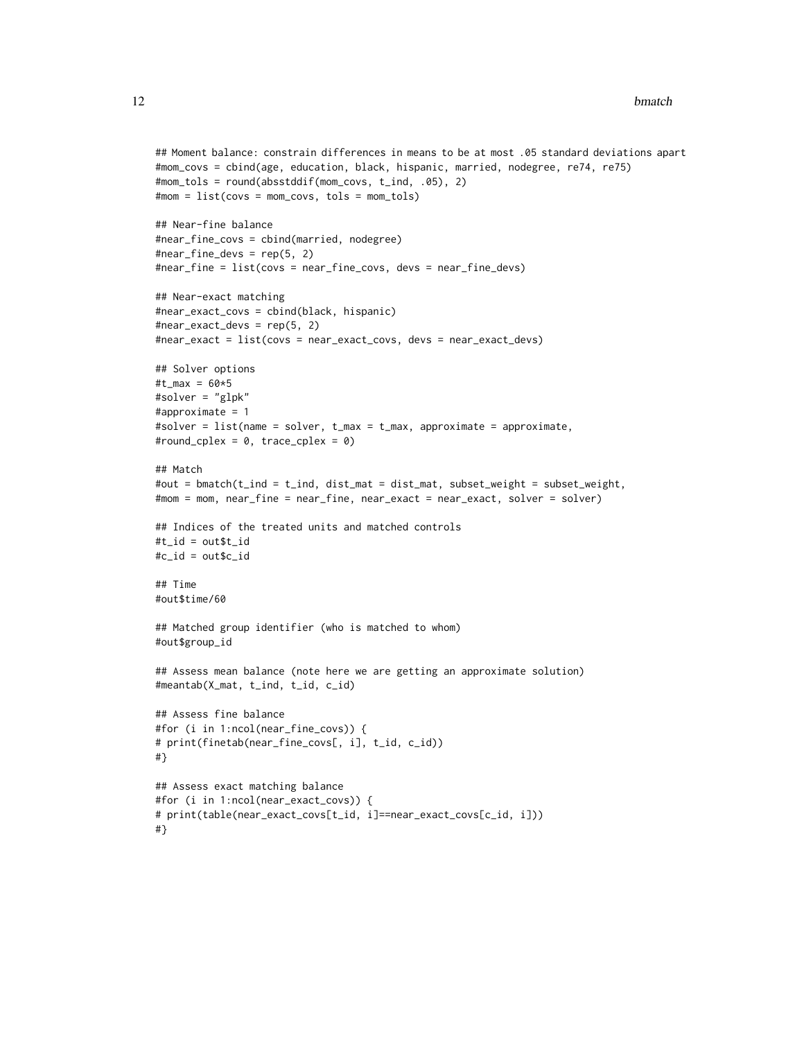```
## Moment balance: constrain differences in means to be at most .05 standard deviations apart
#mom_covs = cbind(age, education, black, hispanic, married, nodegree, re74, re75)
#mom_tols = round(absstddif(mom_covs, t_ind, .05), 2)
#mom = list(covs = mom_covs, tols = mom_tols)
## Near-fine balance
#near_fine_covs = cbind(married, nodegree)
#near_fine_devs = rep(5, 2)
#near_fine = list(covs = near_fine_covs, devs = near_fine_devs)
## Near-exact matching
#near_exact_covs = cbind(black, hispanic)
#near_exact_devs = rep(5, 2)
#near_exact = list(covs = near_exact_covs, devs = near_exact_devs)
## Solver options
#t_max = 60*5#solver = "glpk"
#approximate = 1
#solver = list(name = solver, t_max = t_max, approximate = approximate,
#round_cplex = 0, trace_cplex = 0)
## Match
#out = bmatch(t_ind = t_ind, dist_mat = dist_mat, subset_weight = subset_weight,
#mom = mom, near_fine = near_fine, near_exact = near_exact, solver = solver)
## Indices of the treated units and matched controls
#t_id = out$t_id
#c_id = out$c_id
## Time
#out$time/60
## Matched group identifier (who is matched to whom)
#out$group_id
## Assess mean balance (note here we are getting an approximate solution)
#meantab(X_mat, t_ind, t_id, c_id)
## Assess fine balance
#for (i in 1:ncol(near_fine_covs)) {
# print(finetab(near_fine_covs[, i], t_id, c_id))
#}
## Assess exact matching balance
#for (i in 1:ncol(near_exact_covs)) {
# print(table(near_exact_covs[t_id, i]==near_exact_covs[c_id, i]))
#}
```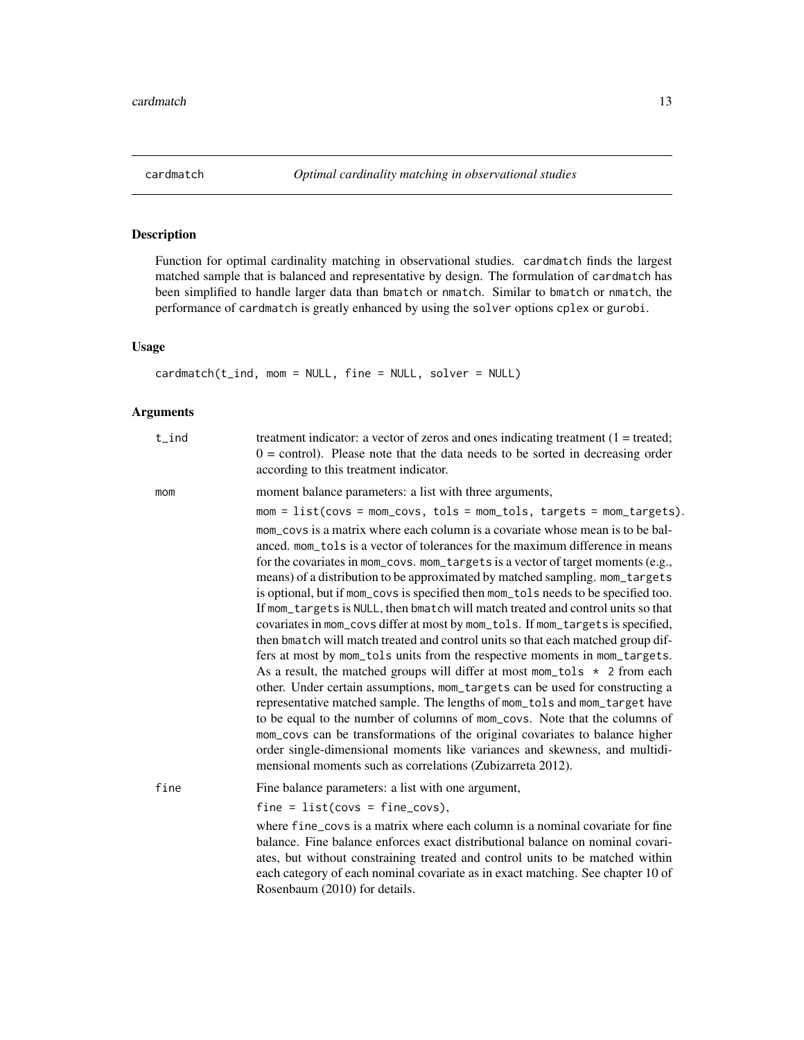<span id="page-12-0"></span>

Function for optimal cardinality matching in observational studies. cardmatch finds the largest matched sample that is balanced and representative by design. The formulation of cardmatch has been simplified to handle larger data than bmatch or nmatch. Similar to bmatch or nmatch, the performance of cardmatch is greatly enhanced by using the solver options cplex or gurobi.

# Usage

cardmatch(t\_ind, mom = NULL, fine = NULL, solver = NULL)

# Arguments

| $t$ _ind | treatment indicator: a vector of zeros and ones indicating treatment $(1 = \text{treated})$ ;<br>$0 =$ control). Please note that the data needs to be sorted in decreasing order<br>according to this treatment indicator.                                                                                                                                                                                                                                                                                                                                                                                                                                                                                                                                                                                                                                                                                                                                                                                                                                                                                                                                                                                                                                                                                                    |
|----------|--------------------------------------------------------------------------------------------------------------------------------------------------------------------------------------------------------------------------------------------------------------------------------------------------------------------------------------------------------------------------------------------------------------------------------------------------------------------------------------------------------------------------------------------------------------------------------------------------------------------------------------------------------------------------------------------------------------------------------------------------------------------------------------------------------------------------------------------------------------------------------------------------------------------------------------------------------------------------------------------------------------------------------------------------------------------------------------------------------------------------------------------------------------------------------------------------------------------------------------------------------------------------------------------------------------------------------|
| mom      | moment balance parameters: a list with three arguments,<br>$mom = list(covs = mom\_covs, tols = mom\_tols, targets = mom\_targets).$                                                                                                                                                                                                                                                                                                                                                                                                                                                                                                                                                                                                                                                                                                                                                                                                                                                                                                                                                                                                                                                                                                                                                                                           |
|          | mom_covs is a matrix where each column is a covariate whose mean is to be bal-<br>anced. mom_tols is a vector of tolerances for the maximum difference in means<br>for the covariates in mom_covs. mom_targets is a vector of target moments (e.g.,<br>means) of a distribution to be approximated by matched sampling. mom_targets<br>is optional, but if mom_covs is specified then mom_tols needs to be specified too.<br>If mom_targets is NULL, then bmatch will match treated and control units so that<br>covariates in mom_covs differ at most by mom_tols. If mom_targets is specified,<br>then bmatch will match treated and control units so that each matched group dif-<br>fers at most by mom_tols units from the respective moments in mom_targets.<br>As a result, the matched groups will differ at most mom_tols $\star$ 2 from each<br>other. Under certain assumptions, mom_targets can be used for constructing a<br>representative matched sample. The lengths of mom_tols and mom_target have<br>to be equal to the number of columns of mom_covs. Note that the columns of<br>mom_covs can be transformations of the original covariates to balance higher<br>order single-dimensional moments like variances and skewness, and multidi-<br>mensional moments such as correlations (Zubizarreta 2012). |
| fine     | Fine balance parameters: a list with one argument,                                                                                                                                                                                                                                                                                                                                                                                                                                                                                                                                                                                                                                                                                                                                                                                                                                                                                                                                                                                                                                                                                                                                                                                                                                                                             |
|          | $fine = list(covs = fine_covs),$                                                                                                                                                                                                                                                                                                                                                                                                                                                                                                                                                                                                                                                                                                                                                                                                                                                                                                                                                                                                                                                                                                                                                                                                                                                                                               |
|          | where fine covs is a matrix where each column is a nominal covariate for fine<br>balance. Fine balance enforces exact distributional balance on nominal covari-<br>ates, but without constraining treated and control units to be matched within<br>each category of each nominal covariate as in exact matching. See chapter 10 of<br>Rosenbaum (2010) for details.                                                                                                                                                                                                                                                                                                                                                                                                                                                                                                                                                                                                                                                                                                                                                                                                                                                                                                                                                           |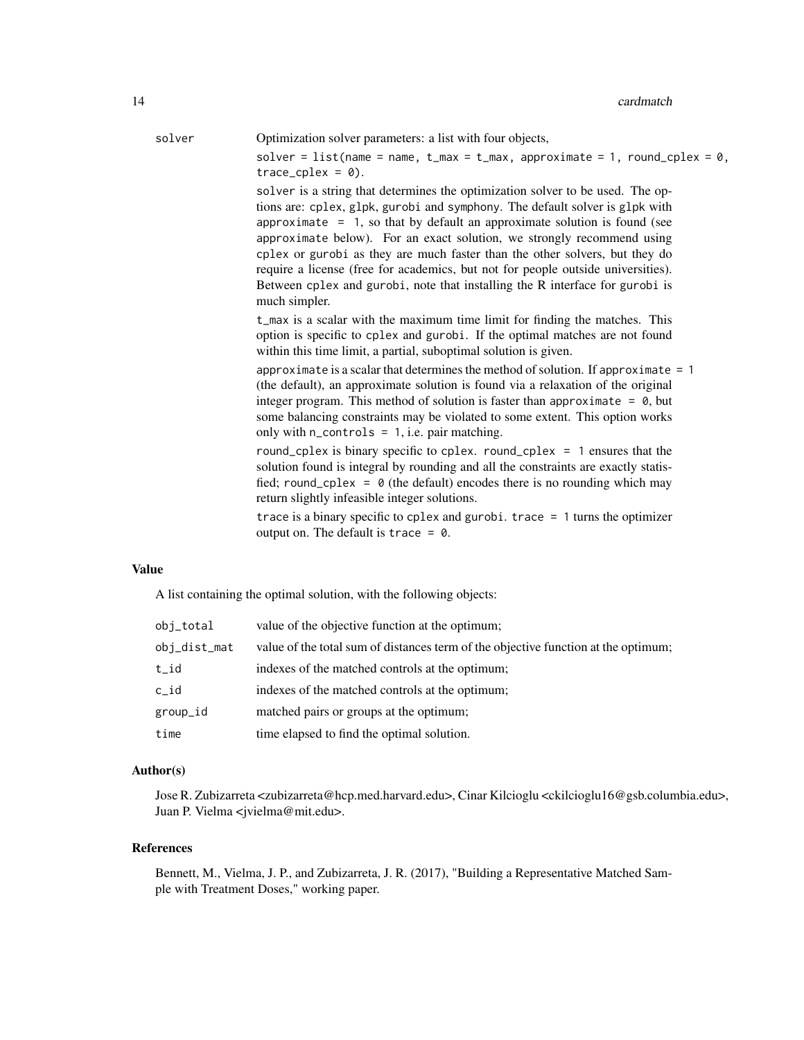solver Optimization solver parameters: a list with four objects,

solver = list(name = name,  $t_{max} = t_{max}$ , approximate = 1, round\_cplex = 0,  $trace_cplex = 0$ ).

solver is a string that determines the optimization solver to be used. The options are: cplex, glpk, gurobi and symphony. The default solver is glpk with approximate  $= 1$ , so that by default an approximate solution is found (see approximate below). For an exact solution, we strongly recommend using cplex or gurobi as they are much faster than the other solvers, but they do require a license (free for academics, but not for people outside universities). Between cplex and gurobi, note that installing the R interface for gurobi is much simpler.

t\_max is a scalar with the maximum time limit for finding the matches. This option is specific to cplex and gurobi. If the optimal matches are not found within this time limit, a partial, suboptimal solution is given.

approximate is a scalar that determines the method of solution. If approximate  $= 1$ (the default), an approximate solution is found via a relaxation of the original integer program. This method of solution is faster than approximate  $= 0$ , but some balancing constraints may be violated to some extent. This option works only with n\_controls = 1, i.e. pair matching.

round\_cplex is binary specific to cplex. round\_cplex = 1 ensures that the solution found is integral by rounding and all the constraints are exactly statisfied; round\_cplex =  $\theta$  (the default) encodes there is no rounding which may return slightly infeasible integer solutions.

trace is a binary specific to cplex and gurobi. trace  $= 1$  turns the optimizer output on. The default is trace  $= 0$ .

# Value

A list containing the optimal solution, with the following objects:

| obj_total    | value of the objective function at the optimum;                                    |
|--------------|------------------------------------------------------------------------------------|
| obj_dist_mat | value of the total sum of distances term of the objective function at the optimum; |
| t_id         | indexes of the matched controls at the optimum;                                    |
| c id         | indexes of the matched controls at the optimum;                                    |
| group_id     | matched pairs or groups at the optimum;                                            |
| time         | time elapsed to find the optimal solution.                                         |

# Author(s)

Jose R. Zubizarreta <zubizarreta@hcp.med.harvard.edu>, Cinar Kilcioglu <ckilcioglu16@gsb.columbia.edu>, Juan P. Vielma <jvielma@mit.edu>.

#### References

Bennett, M., Vielma, J. P., and Zubizarreta, J. R. (2017), "Building a Representative Matched Sample with Treatment Doses," working paper.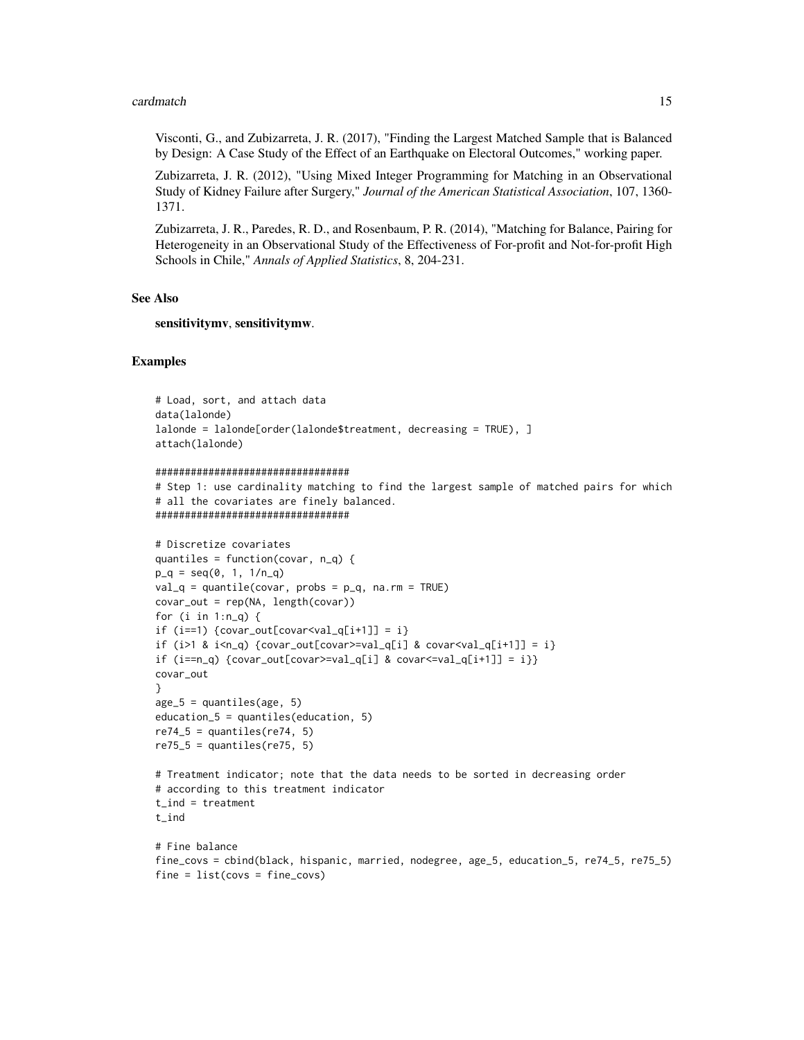#### cardmatch 15

Visconti, G., and Zubizarreta, J. R. (2017), "Finding the Largest Matched Sample that is Balanced by Design: A Case Study of the Effect of an Earthquake on Electoral Outcomes," working paper.

Zubizarreta, J. R. (2012), "Using Mixed Integer Programming for Matching in an Observational Study of Kidney Failure after Surgery," *Journal of the American Statistical Association*, 107, 1360- 1371.

Zubizarreta, J. R., Paredes, R. D., and Rosenbaum, P. R. (2014), "Matching for Balance, Pairing for Heterogeneity in an Observational Study of the Effectiveness of For-profit and Not-for-profit High Schools in Chile," *Annals of Applied Statistics*, 8, 204-231.

# See Also

sensitivitymv, sensitivitymw.

#### Examples

```
# Load, sort, and attach data
data(lalonde)
lalonde = lalonde[order(lalonde$treatment, decreasing = TRUE), ]
attach(lalonde)
```

```
#################################
```

```
# Step 1: use cardinality matching to find the largest sample of matched pairs for which
# all the covariates are finely balanced.
#################################
```

```
# Discretize covariates
quantiles = function(covar, n_q) {
p_q = seq(0, 1, 1/n_q)val_q = quantile(covar, probs = p_q, na.rm = TRUE)covar_out = rep(NA, length(covar))
for (i in 1:n_q) {
if (i == 1) {covar_out[covar <val_q[i+1]] = i}
if (i>1 & i<n_q) {covar_out[covar>=val_q[i] & covar<val_q[i+1]] = i}
if (i == n_q) {covar_out[covar>=val_q[i] & covar<=val_q[i+1]] = i}}
covar_out
}
age_5 = quantiles(age, 5)education_5 = quantiles(education, 5)
re74_5 = quantiles(re74, 5)re75_5 = quantiles(re75, 5)# Treatment indicator; note that the data needs to be sorted in decreasing order
# according to this treatment indicator
t_ind = treatment
t_ind
# Fine balance
fine_covs = cbind(black, hispanic, married, nodegree, age_5, education_5, re74_5, re75_5)
fine = list(covs = fine_covs)
```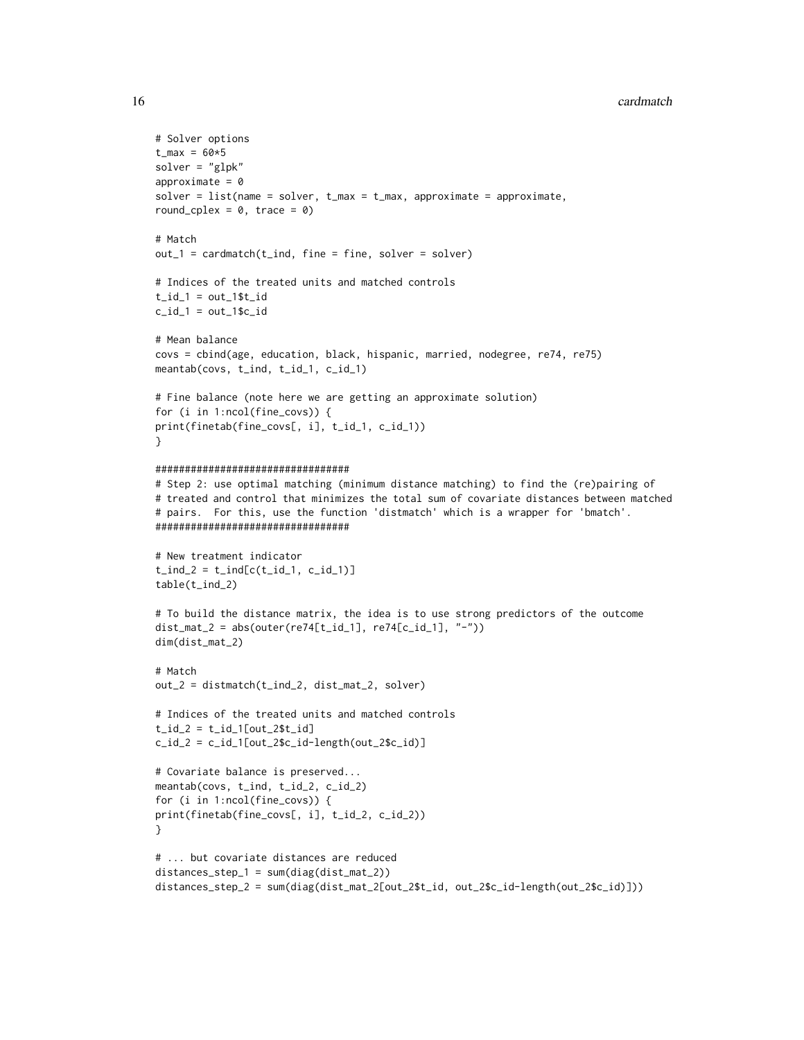#### 16 cardmatch and the contract of the contract of the contract of the cardmatch cardmatch cardmatch contract of the contract of the contract of the contract of the contract of the contract of the contract of the contract of

```
# Solver options
t_{max} = 60*5solver = "glpk"
approximate = 0solver = list(name = solver, t_max = t_max, approximate = approximate,round_cplex = 0, trace = 0)
# Match
out_1 = cardmatch(t_ind, fine = fine, solver = solver)# Indices of the treated units and matched controls
t_id_1 = out_1$t_idc_id_1 = out_1$c_id# Mean balance
covs = cbind(age, education, black, hispanic, married, nodegree, re74, re75)
meantab(covs, t_ind, t_id_1, c_id_1)
# Fine balance (note here we are getting an approximate solution)
for (i in 1:ncol(fine_covs)) {
print(finetab(fine_covs[, i], t_id_1, c_id_1))
}
#################################
# Step 2: use optimal matching (minimum distance matching) to find the (re)pairing of
# treated and control that minimizes the total sum of covariate distances between matched
# pairs. For this, use the function 'distmatch' which is a wrapper for 'bmatch'.
#################################
# New treatment indicator
t_{ind_2} = t_{ind[c(t_id_1, c_id_1)]}table(t_ind_2)
# To build the distance matrix, the idea is to use strong predictors of the outcome
dist_mat_2 = abs(outer(re74[t_id_1], re74[c_id_1], "-"))
dim(dist_mat_2)
# Match
out_2 = distmatch(t_ind_2, dist_mat_2, solver)
# Indices of the treated units and matched controls
t_id_2 = t_id_1[out_2$t_id]c_id_2 = c_id_1[out_2$c_id-length(out_2$c_id)]
# Covariate balance is preserved...
meantab(covs, t_ind, t_id_2, c_id_2)
for (i in 1:ncol(fine_covs)) {
print(finetab(fine_covs[, i], t_id_2, c_id_2))
}
# ... but covariate distances are reduced
distances_step_1 = sum(diag(dist_mat_2))
distances_step_2 = sum(diag(dist_mat_2[out_2$t_id, out_2$c_id-length(out_2$c_id)]))
```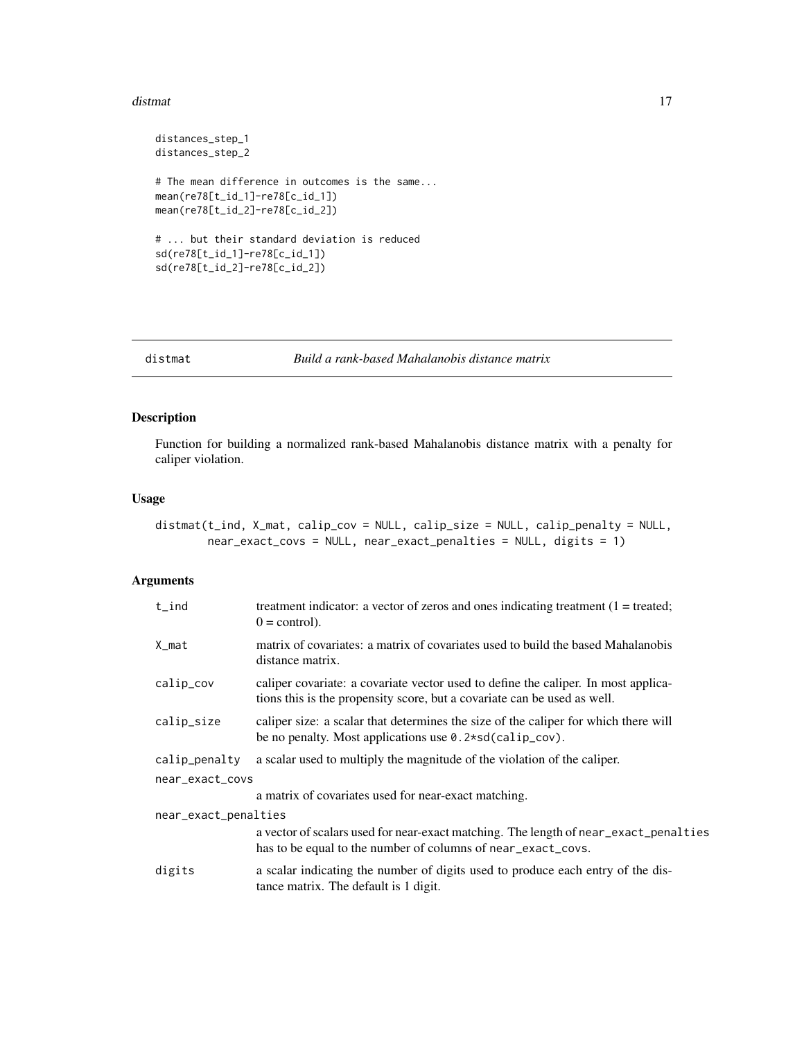#### <span id="page-16-0"></span>distmat and the contract of the contract of the contract of the contract of the contract of the contract of the contract of the contract of the contract of the contract of the contract of the contract of the contract of th

```
distances_step_1
distances_step_2
# The mean difference in outcomes is the same...
mean(re78[t_id_1]-re78[c_id_1])
mean(re78[t_id_2]-re78[c_id_2])
# ... but their standard deviation is reduced
sd(re78[t_id_1]-re78[c_id_1])
sd(re78[t_id_2]-re78[c_id_2])
```
# distmat *Build a rank-based Mahalanobis distance matrix*

# Description

Function for building a normalized rank-based Mahalanobis distance matrix with a penalty for caliper violation.

# Usage

```
distmat(t_ind, X_mat, calip_cov = NULL, calip_size = NULL, calip_penalty = NULL,
        near_exact_covs = NULL, near_exact_penalties = NULL, digits = 1)
```
# Arguments

| $t$ _ind             | treatment indicator: a vector of zeros and ones indicating treatment $(1 = \text{treated})$ ;<br>$0 = \text{control}$ .                                        |
|----------------------|----------------------------------------------------------------------------------------------------------------------------------------------------------------|
| X_mat                | matrix of covariates: a matrix of covariates used to build the based Mahalanobis<br>distance matrix.                                                           |
| calip_cov            | caliper covariate: a covariate vector used to define the caliper. In most applica-<br>tions this is the propensity score, but a covariate can be used as well. |
| calip_size           | caliper size: a scalar that determines the size of the caliper for which there will<br>be no penalty. Most applications use $0.2*sd(calip_cov)$ .              |
| calip_penalty        | a scalar used to multiply the magnitude of the violation of the caliper.                                                                                       |
| near_exact_covs      |                                                                                                                                                                |
|                      | a matrix of covariates used for near-exact matching.                                                                                                           |
| near_exact_penalties |                                                                                                                                                                |
|                      | a vector of scalars used for near-exact matching. The length of near_exact_penalties<br>has to be equal to the number of columns of near_exact_covs.           |
| digits               | a scalar indicating the number of digits used to produce each entry of the dis-<br>tance matrix. The default is 1 digit.                                       |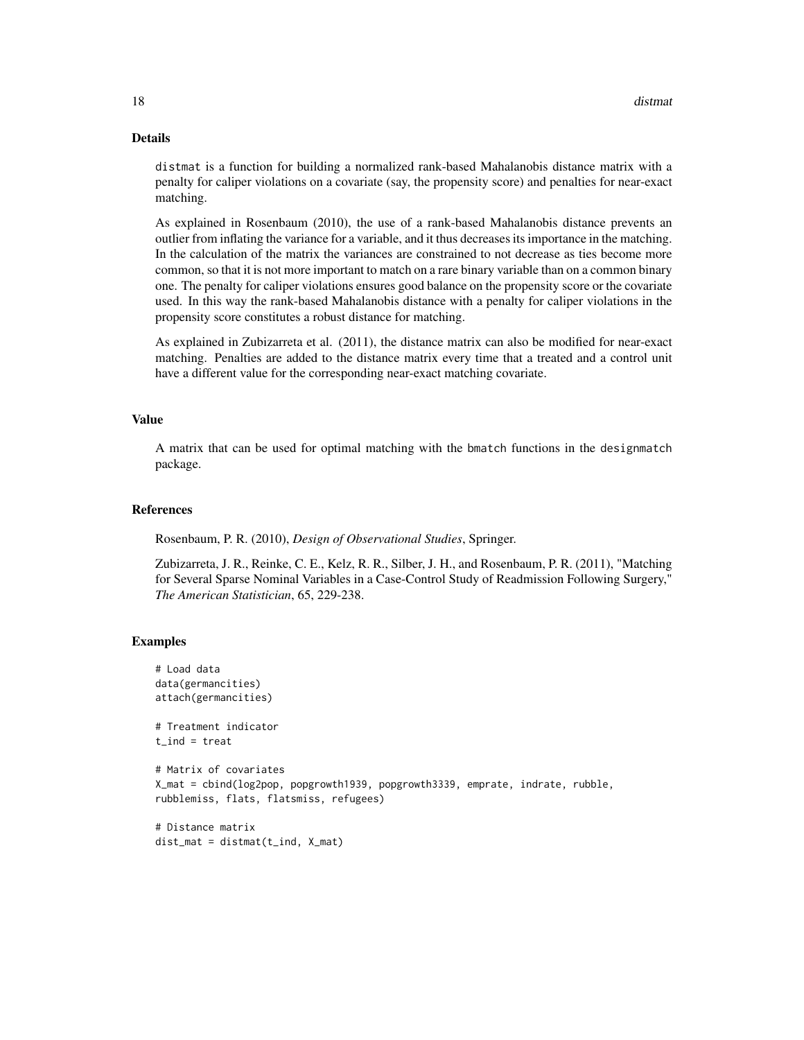# Details

distmat is a function for building a normalized rank-based Mahalanobis distance matrix with a penalty for caliper violations on a covariate (say, the propensity score) and penalties for near-exact matching.

As explained in Rosenbaum (2010), the use of a rank-based Mahalanobis distance prevents an outlier from inflating the variance for a variable, and it thus decreases its importance in the matching. In the calculation of the matrix the variances are constrained to not decrease as ties become more common, so that it is not more important to match on a rare binary variable than on a common binary one. The penalty for caliper violations ensures good balance on the propensity score or the covariate used. In this way the rank-based Mahalanobis distance with a penalty for caliper violations in the propensity score constitutes a robust distance for matching.

As explained in Zubizarreta et al. (2011), the distance matrix can also be modified for near-exact matching. Penalties are added to the distance matrix every time that a treated and a control unit have a different value for the corresponding near-exact matching covariate.

# Value

A matrix that can be used for optimal matching with the bmatch functions in the designmatch package.

# References

Rosenbaum, P. R. (2010), *Design of Observational Studies*, Springer.

Zubizarreta, J. R., Reinke, C. E., Kelz, R. R., Silber, J. H., and Rosenbaum, P. R. (2011), "Matching for Several Sparse Nominal Variables in a Case-Control Study of Readmission Following Surgery," *The American Statistician*, 65, 229-238.

# Examples

dist\_mat = distmat(t\_ind, X\_mat)

```
# Load data
data(germancities)
attach(germancities)
# Treatment indicator
t<sub>l</sub>ind = treat
# Matrix of covariates
X_mat = cbind(log2pop, popgrowth1939, popgrowth3339, emprate, indrate, rubble,
rubblemiss, flats, flatsmiss, refugees)
# Distance matrix
```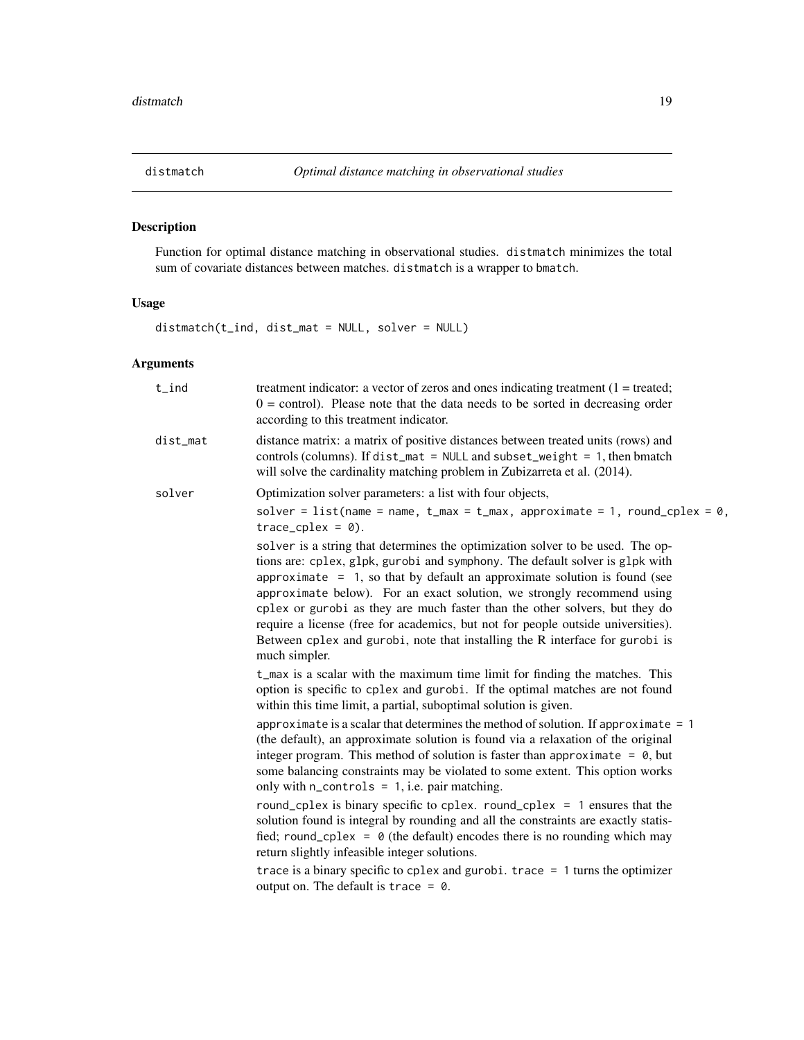<span id="page-18-0"></span>

Function for optimal distance matching in observational studies. distmatch minimizes the total sum of covariate distances between matches. distmatch is a wrapper to bmatch.

# Usage

distmatch(t\_ind, dist\_mat = NULL, solver = NULL)

# Arguments

| $t$ _ind    | treatment indicator: a vector of zeros and ones indicating treatment $(1 = \text{treated})$ ;<br>$0 =$ control). Please note that the data needs to be sorted in decreasing order<br>according to this treatment indicator.                                                                                                                                                                                                                                                                                                                                                                  |
|-------------|----------------------------------------------------------------------------------------------------------------------------------------------------------------------------------------------------------------------------------------------------------------------------------------------------------------------------------------------------------------------------------------------------------------------------------------------------------------------------------------------------------------------------------------------------------------------------------------------|
| $dist_m$ at | distance matrix: a matrix of positive distances between treated units (rows) and<br>controls (columns). If dist_mat = NULL and subset_weight = 1, then bmatch<br>will solve the cardinality matching problem in Zubizarreta et al. (2014).                                                                                                                                                                                                                                                                                                                                                   |
| solver      | Optimization solver parameters: a list with four objects,                                                                                                                                                                                                                                                                                                                                                                                                                                                                                                                                    |
|             | solver = list(name = name, $t_{max} = t_{max}$ , approximate = 1, round_cplex = 0,<br>$trace_cplex = 0$ ).                                                                                                                                                                                                                                                                                                                                                                                                                                                                                   |
|             | solver is a string that determines the optimization solver to be used. The op-<br>tions are: cplex, glpk, gurobi and symphony. The default solver is glpk with<br>approximate $= 1$ , so that by default an approximate solution is found (see<br>approximate below). For an exact solution, we strongly recommend using<br>cplex or gurobi as they are much faster than the other solvers, but they do<br>require a license (free for academics, but not for people outside universities).<br>Between cplex and gurobi, note that installing the R interface for gurobi is<br>much simpler. |
|             | t_max is a scalar with the maximum time limit for finding the matches. This<br>option is specific to cplex and gurobi. If the optimal matches are not found<br>within this time limit, a partial, suboptimal solution is given.                                                                                                                                                                                                                                                                                                                                                              |
|             | approximate is a scalar that determines the method of solution. If approximate $= 1$<br>(the default), an approximate solution is found via a relaxation of the original<br>integer program. This method of solution is faster than approximate = $\theta$ , but<br>some balancing constraints may be violated to some extent. This option works<br>only with $n_{\text{controls}} = 1$ , i.e. pair matching.                                                                                                                                                                                |
|             | round_cplex is binary specific to cplex. round_cplex = $1$ ensures that the<br>solution found is integral by rounding and all the constraints are exactly statis-<br>fied; round_cplex = $\theta$ (the default) encodes there is no rounding which may<br>return slightly infeasible integer solutions.                                                                                                                                                                                                                                                                                      |
|             | trace is a binary specific to cplex and gurobi. trace $= 1$ turns the optimizer<br>output on. The default is trace = $\theta$ .                                                                                                                                                                                                                                                                                                                                                                                                                                                              |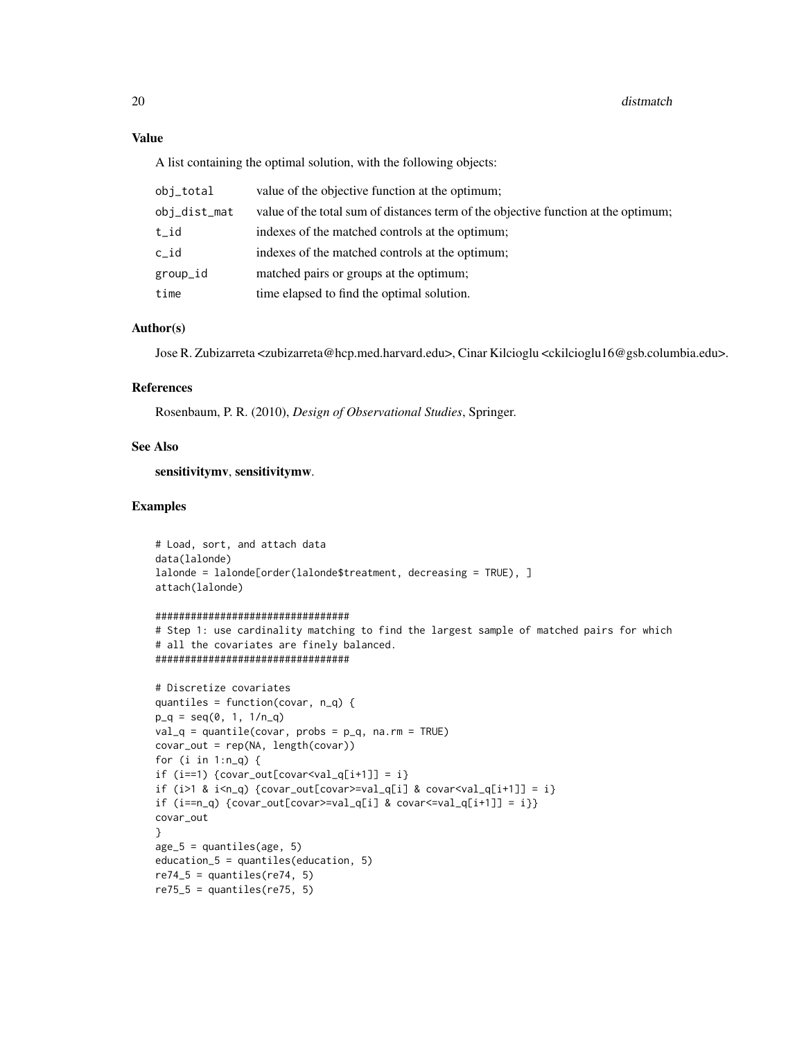# Value

A list containing the optimal solution, with the following objects:

| obj_total    | value of the objective function at the optimum;                                    |
|--------------|------------------------------------------------------------------------------------|
| obi_dist_mat | value of the total sum of distances term of the objective function at the optimum; |
| t_id         | indexes of the matched controls at the optimum;                                    |
| c id         | indexes of the matched controls at the optimum;                                    |
| group_id     | matched pairs or groups at the optimum;                                            |
| time         | time elapsed to find the optimal solution.                                         |

# Author(s)

Jose R. Zubizarreta <zubizarreta@hcp.med.harvard.edu>, Cinar Kilcioglu <ckilcioglu16@gsb.columbia.edu>.

# References

Rosenbaum, P. R. (2010), *Design of Observational Studies*, Springer.

# See Also

sensitivitymv, sensitivitymw.

# Examples

```
# Load, sort, and attach data
data(lalonde)
lalonde = lalonde[order(lalonde$treatment, decreasing = TRUE), ]
attach(lalonde)
```
#### #################################

```
# Step 1: use cardinality matching to find the largest sample of matched pairs for which
# all the covariates are finely balanced.
#################################
```

```
# Discretize covariates
quantiles = function(covar, n_q) {
p_q = \text{seq}(0, 1, 1/n_q)val_q = quantile(covar, probs = p_q, na.rm = TRUE)covar_out = rep(NA, length(covar))
for (i in 1:n_q) {
if (i == 1) {covar_out[covar<val_q[i+1]] = i}
if (i>1 & i<sub>n_q</sub>) {covar_out[covar>=val_q[i] & covar<val_q[i+1]] = i}
if (i == n_q) {covar_out[covar>=val_q[i] & covar<=val_q[i+1]] = i}}
covar_out
}
age_5 = quantiles(age, 5)education_5 = quantiles(education, 5)
re74_5 = quantiles(re74, 5)re75_5 = quantiles(re75, 5)
```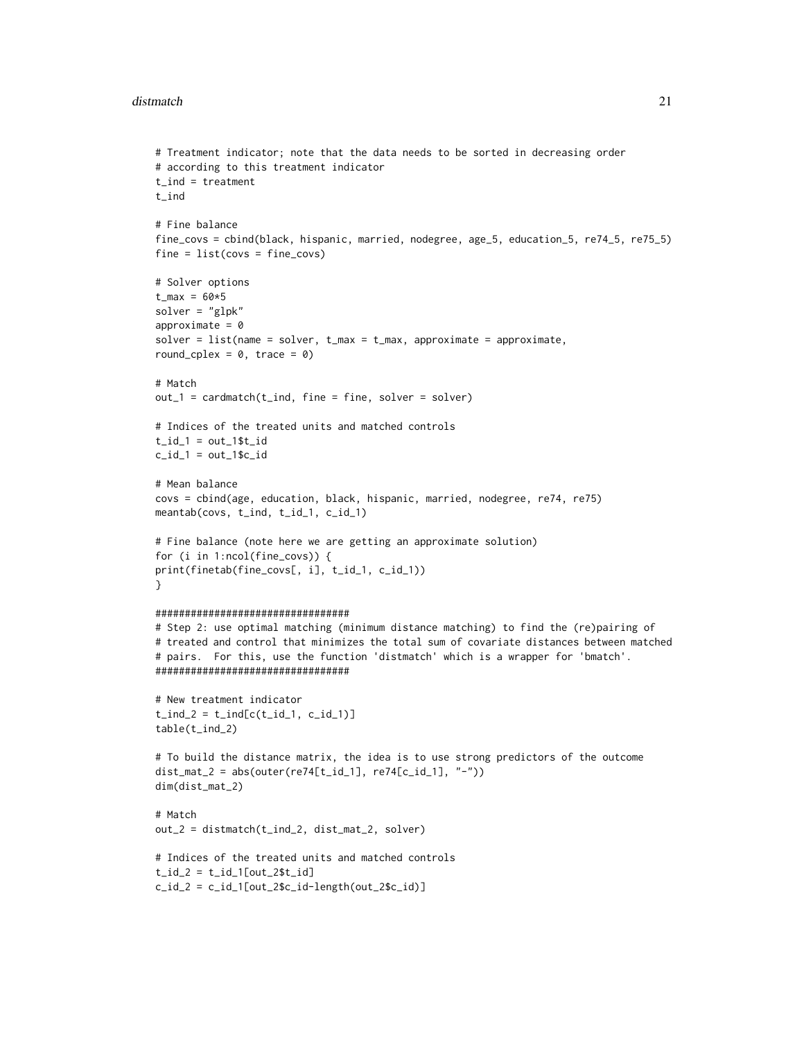# distmatch 21

```
# Treatment indicator; note that the data needs to be sorted in decreasing order
# according to this treatment indicator
t<sub>l</sub>ind = treatment
t_ind
# Fine balance
fine_covs = cbind(black, hispanic, married, nodegree, age_5, education_5, re74_5, re75_5)
fine = list(covs = fine_covs)# Solver options
t_{max} = 60*5solver = "glpk"
approximate = 0solver = list(name = solver, t_max = t_max, approximate = approximate,round_cplex = 0, trace = 0)
# Match
out_1 = cardmatch(t_ind, fine = fine, solver = solver)# Indices of the treated units and matched controls
t_id_1 = out_1$t_idc_id_1 = out_1$c_id# Mean balance
covs = cbind(age, education, black, hispanic, married, nodegree, re74, re75)
meantab(covs, t_ind, t_id_1, c_id_1)
# Fine balance (note here we are getting an approximate solution)
for (i in 1:ncol(fine_covs)) {
print(finetab(fine_covs[, i], t_id_1, c_id_1))
}
#################################
# Step 2: use optimal matching (minimum distance matching) to find the (re)pairing of
# treated and control that minimizes the total sum of covariate distances between matched
# pairs. For this, use the function 'distmatch' which is a wrapper for 'bmatch'.
#################################
# New treatment indicator
t_{ind_2 = t_{ind[c(t_id_1, c_id_1)]}table(t_ind_2)
# To build the distance matrix, the idea is to use strong predictors of the outcome
dist_mat_2 = abs(outer(re74[t_id_1], re74[c_id_1], "-"))
dim(dist_mat_2)
# Match
out_2 = distmatch(t_ind_2, dist_mat_2, solver)
# Indices of the treated units and matched controls
t_id_2 = t_id_1[out_2$t_id]
```

```
c_id_2 = c_id_1[out_2$c_id-length(out_2$c_id)]
```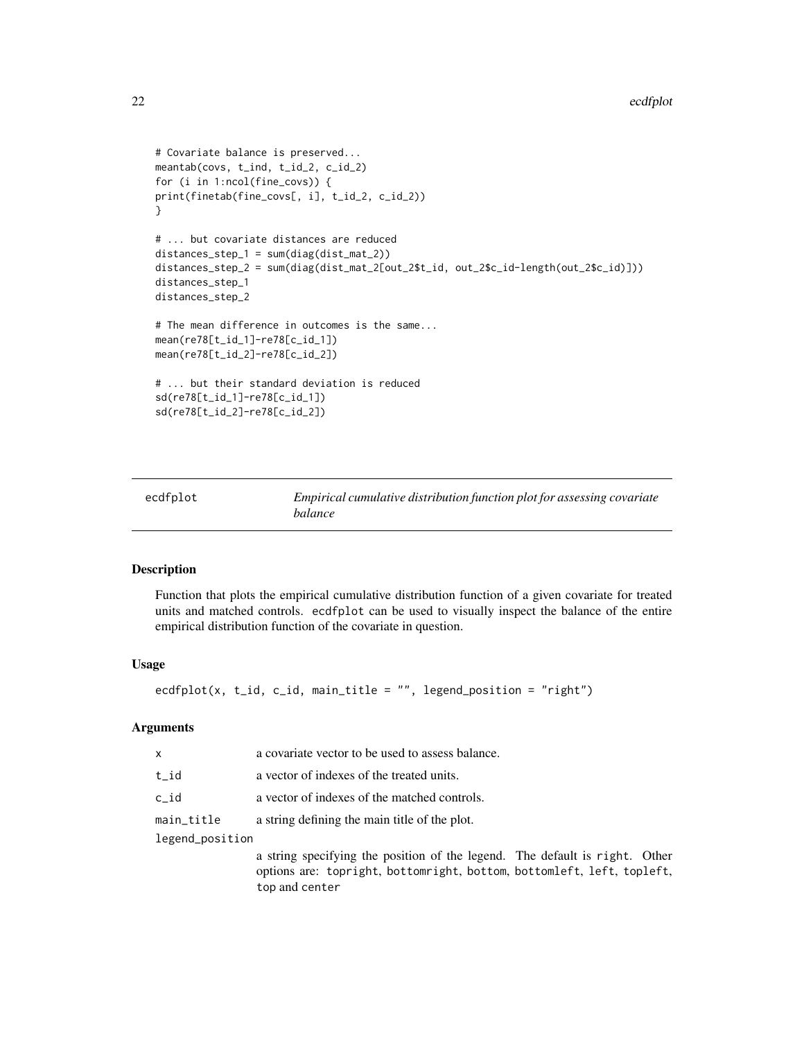```
# Covariate balance is preserved...
meantab(covs, t_ind, t_id_2, c_id_2)
for (i in 1:ncol(fine_covs)) {
print(finetab(fine_covs[, i], t_id_2, c_id_2))
}
# ... but covariate distances are reduced
distances_step_1 = sum(diag(dist_mat_2))
distances_step_2 = sum(diag(dist_mat_2[out_2$t_id, out_2$c_id-length(out_2$c_id)]))
distances_step_1
distances_step_2
# The mean difference in outcomes is the same...
mean(re78[t_id_1]-re78[c_id_1])
mean(re78[t_id_2]-re78[c_id_2])
# ... but their standard deviation is reduced
sd(re78[t_id_1]-re78[c_id_1])
sd(re78[t_id_2]-re78[c_id_2])
```

| ecdfplot | Empirical cumulative distribution function plot for assessing covariate |
|----------|-------------------------------------------------------------------------|
|          | <i>balance</i>                                                          |

Function that plots the empirical cumulative distribution function of a given covariate for treated units and matched controls. ecdfplot can be used to visually inspect the balance of the entire empirical distribution function of the covariate in question.

#### Usage

```
ecdfplot(x, t_id, c_id, main_title = "", legend_position = "right")
```
# **Arguments**

| X               | a covariate vector to be used to assess balance. |  |
|-----------------|--------------------------------------------------|--|
| t id            | a vector of indexes of the treated units.        |  |
| c id            | a vector of indexes of the matched controls.     |  |
| main_title      | a string defining the main title of the plot.    |  |
| legend_position |                                                  |  |

a string specifying the position of the legend. The default is right. Other options are: topright, bottomright, bottom, bottomleft, left, topleft, top and center

<span id="page-21-0"></span>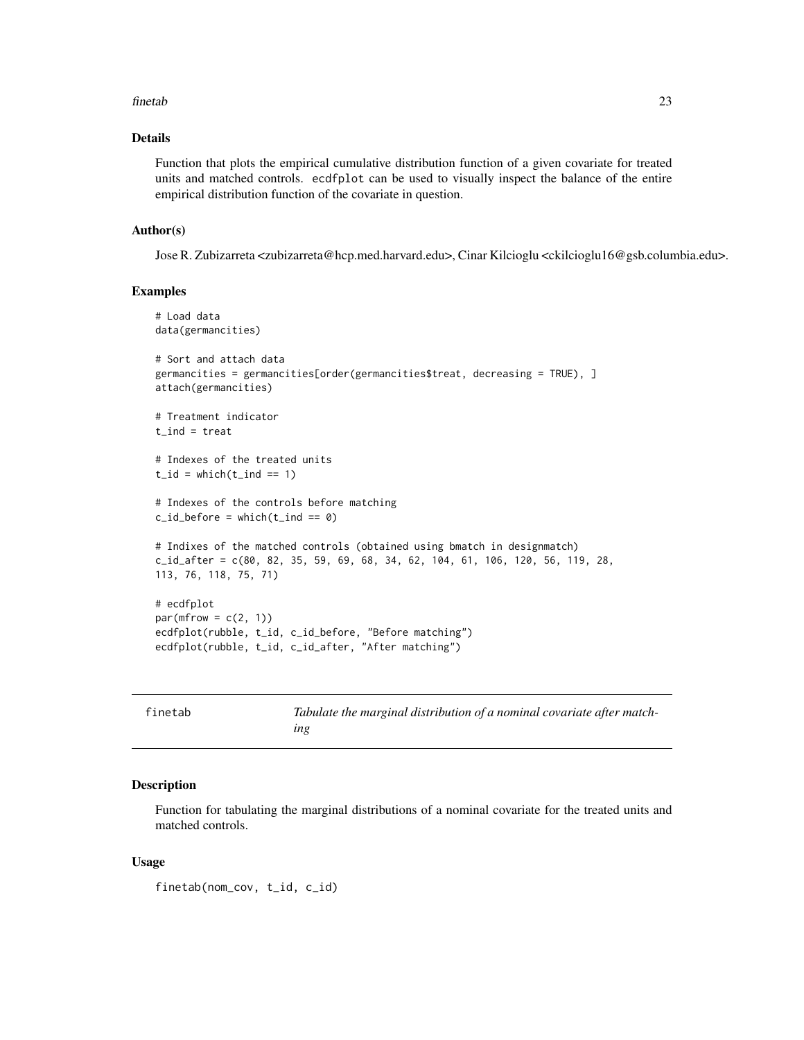#### <span id="page-22-0"></span>finetab 23

# Details

Function that plots the empirical cumulative distribution function of a given covariate for treated units and matched controls. ecdfplot can be used to visually inspect the balance of the entire empirical distribution function of the covariate in question.

# Author(s)

Jose R. Zubizarreta <zubizarreta@hcp.med.harvard.edu>, Cinar Kilcioglu <ckilcioglu16@gsb.columbia.edu>.

# Examples

```
# Load data
data(germancities)
# Sort and attach data
germancities = germancities[order(germancities$treat, decreasing = TRUE), ]
attach(germancities)
# Treatment indicator
t ind = treat# Indexes of the treated units
t_id = which(t_id == 1)# Indexes of the controls before matching
c_id_before = which(t_id == 0)# Indixes of the matched controls (obtained using bmatch in designmatch)
c_id_after = c(80, 82, 35, 59, 69, 68, 34, 62, 104, 61, 106, 120, 56, 119, 28,
113, 76, 118, 75, 71)
# ecdfplot
par(mfrow = c(2, 1))ecdfplot(rubble, t_id, c_id_before, "Before matching")
ecdfplot(rubble, t_id, c_id_after, "After matching")
```

| finetab | Tabulate the marginal distribution of a nominal covariate after match- |
|---------|------------------------------------------------------------------------|
|         | ıng                                                                    |

# Description

Function for tabulating the marginal distributions of a nominal covariate for the treated units and matched controls.

#### Usage

```
finetab(nom_cov, t_id, c_id)
```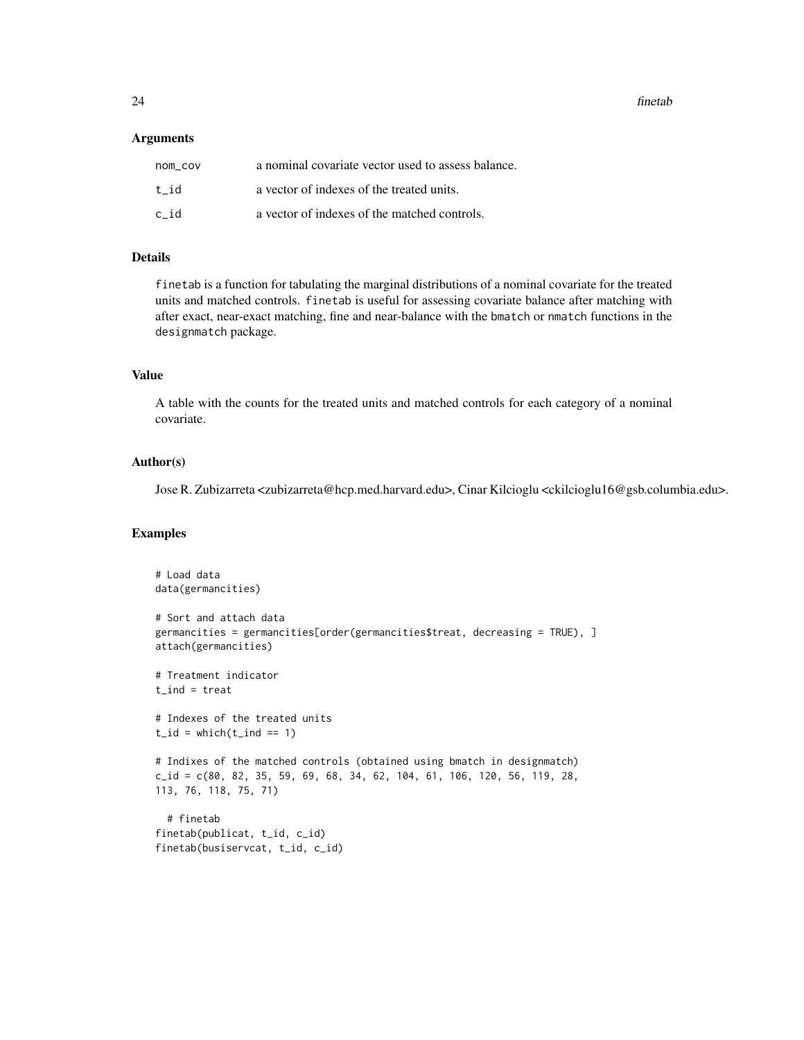24 finetable control of the control of the control of the control of the control of the control of the control of the control of the control of the control of the control of the control of the control of the control of the

# **Arguments**

| nom cov | a nominal covariate vector used to assess balance. |
|---------|----------------------------------------------------|
| t id    | a vector of indexes of the treated units.          |
| c id    | a vector of indexes of the matched controls.       |

# Details

finetab is a function for tabulating the marginal distributions of a nominal covariate for the treated units and matched controls. finetab is useful for assessing covariate balance after matching with after exact, near-exact matching, fine and near-balance with the bmatch or nmatch functions in the designmatch package.

# Value

A table with the counts for the treated units and matched controls for each category of a nominal covariate.

# Author(s)

Jose R. Zubizarreta <zubizarreta@hcp.med.harvard.edu>, Cinar Kilcioglu <ckilcioglu16@gsb.columbia.edu>.

# Examples

```
# Load data
data(germancities)
# Sort and attach data
germancities = germancities[order(germancities$treat, decreasing = TRUE), ]
attach(germancities)
# Treatment indicator
t<sub>l</sub>ind = treat
# Indexes of the treated units
t_id = which(t_id == 1)# Indixes of the matched controls (obtained using bmatch in designmatch)
c_id = c(80, 82, 35, 59, 69, 68, 34, 62, 104, 61, 106, 120, 56, 119, 28,
113, 76, 118, 75, 71)
 # finetab
finetab(publicat, t_id, c_id)
finetab(busiservcat, t_id, c_id)
```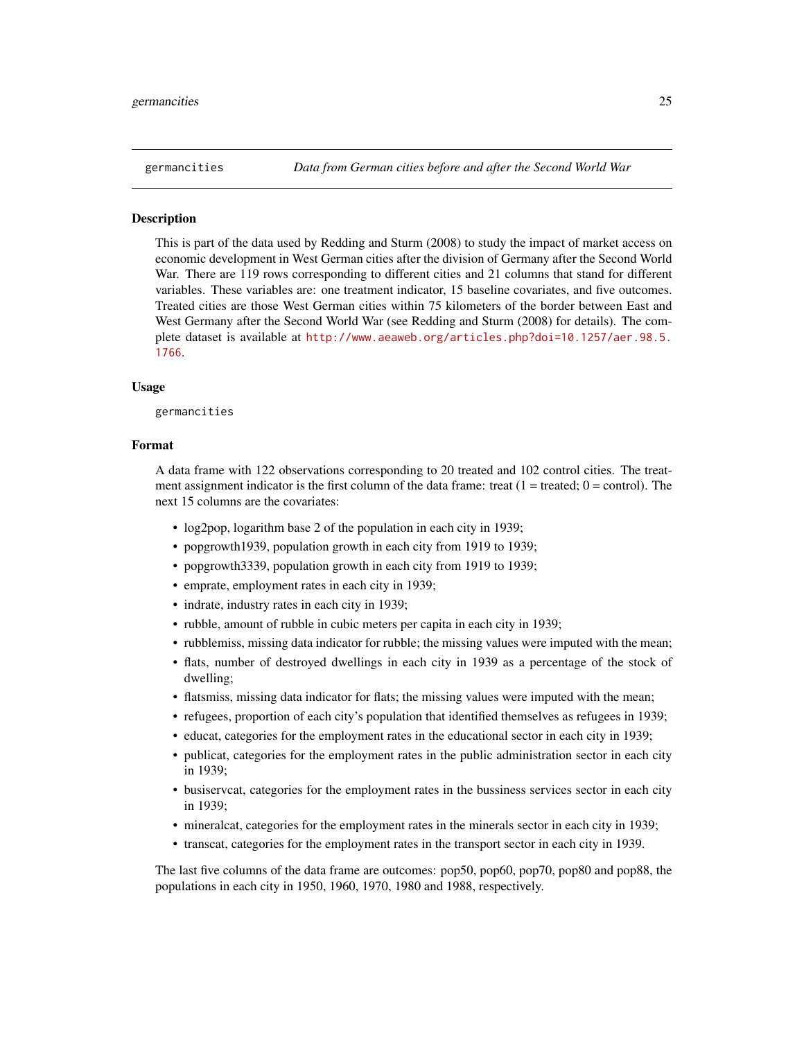<span id="page-24-0"></span>

This is part of the data used by Redding and Sturm (2008) to study the impact of market access on economic development in West German cities after the division of Germany after the Second World War. There are 119 rows corresponding to different cities and 21 columns that stand for different variables. These variables are: one treatment indicator, 15 baseline covariates, and five outcomes. Treated cities are those West German cities within 75 kilometers of the border between East and West Germany after the Second World War (see Redding and Sturm (2008) for details). The complete dataset is available at [http://www.aeaweb.org/articles.php?doi=10.1257/aer.98.5.](http://www.aeaweb.org/articles.php?doi=10.1257/aer.98.5.1766) [1766](http://www.aeaweb.org/articles.php?doi=10.1257/aer.98.5.1766).

# Usage

germancities

#### Format

A data frame with 122 observations corresponding to 20 treated and 102 control cities. The treatment assignment indicator is the first column of the data frame: treat  $(1 = \text{treated}; 0 = \text{control})$ . The next 15 columns are the covariates:

- log2pop, logarithm base 2 of the population in each city in 1939;
- popgrowth 1939, population growth in each city from 1919 to 1939;
- popgrowth3339, population growth in each city from 1919 to 1939;
- emprate, employment rates in each city in 1939;
- indrate, industry rates in each city in 1939;
- rubble, amount of rubble in cubic meters per capita in each city in 1939;
- rubblemiss, missing data indicator for rubble; the missing values were imputed with the mean;
- flats, number of destroyed dwellings in each city in 1939 as a percentage of the stock of dwelling;
- flatsmiss, missing data indicator for flats; the missing values were imputed with the mean;
- refugees, proportion of each city's population that identified themselves as refugees in 1939;
- educat, categories for the employment rates in the educational sector in each city in 1939;
- publicat, categories for the employment rates in the public administration sector in each city in 1939;
- busiservcat, categories for the employment rates in the bussiness services sector in each city in 1939;
- mineralcat, categories for the employment rates in the minerals sector in each city in 1939;
- transcat, categories for the employment rates in the transport sector in each city in 1939.

The last five columns of the data frame are outcomes: pop50, pop60, pop70, pop80 and pop88, the populations in each city in 1950, 1960, 1970, 1980 and 1988, respectively.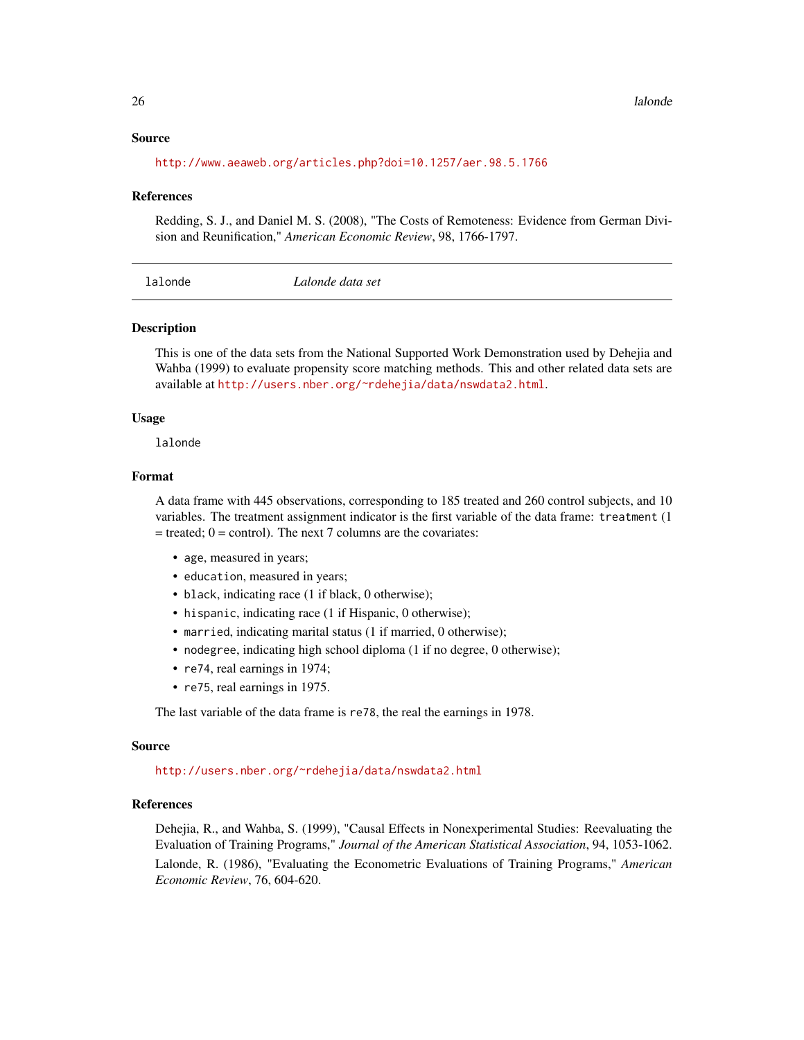# <span id="page-25-0"></span>Source

<http://www.aeaweb.org/articles.php?doi=10.1257/aer.98.5.1766>

#### References

Redding, S. J., and Daniel M. S. (2008), "The Costs of Remoteness: Evidence from German Division and Reunification," *American Economic Review*, 98, 1766-1797.

| Lalonde data set<br>lalonde |
|-----------------------------|
|-----------------------------|

#### **Description**

This is one of the data sets from the National Supported Work Demonstration used by Dehejia and Wahba (1999) to evaluate propensity score matching methods. This and other related data sets are available at <http://users.nber.org/~rdehejia/data/nswdata2.html>.

# Usage

lalonde

# Format

A data frame with 445 observations, corresponding to 185 treated and 260 control subjects, and 10 variables. The treatment assignment indicator is the first variable of the data frame: treatment (1  $=$  treated;  $0 =$  control). The next 7 columns are the covariates:

- age, measured in years;
- education, measured in years;
- black, indicating race (1 if black, 0 otherwise);
- hispanic, indicating race (1 if Hispanic, 0 otherwise);
- married, indicating marital status (1 if married, 0 otherwise);
- nodegree, indicating high school diploma (1 if no degree, 0 otherwise);
- re74, real earnings in 1974;
- re75, real earnings in 1975.

The last variable of the data frame is re78, the real the earnings in 1978.

#### Source

<http://users.nber.org/~rdehejia/data/nswdata2.html>

### References

Dehejia, R., and Wahba, S. (1999), "Causal Effects in Nonexperimental Studies: Reevaluating the Evaluation of Training Programs," *Journal of the American Statistical Association*, 94, 1053-1062.

Lalonde, R. (1986), "Evaluating the Econometric Evaluations of Training Programs," *American Economic Review*, 76, 604-620.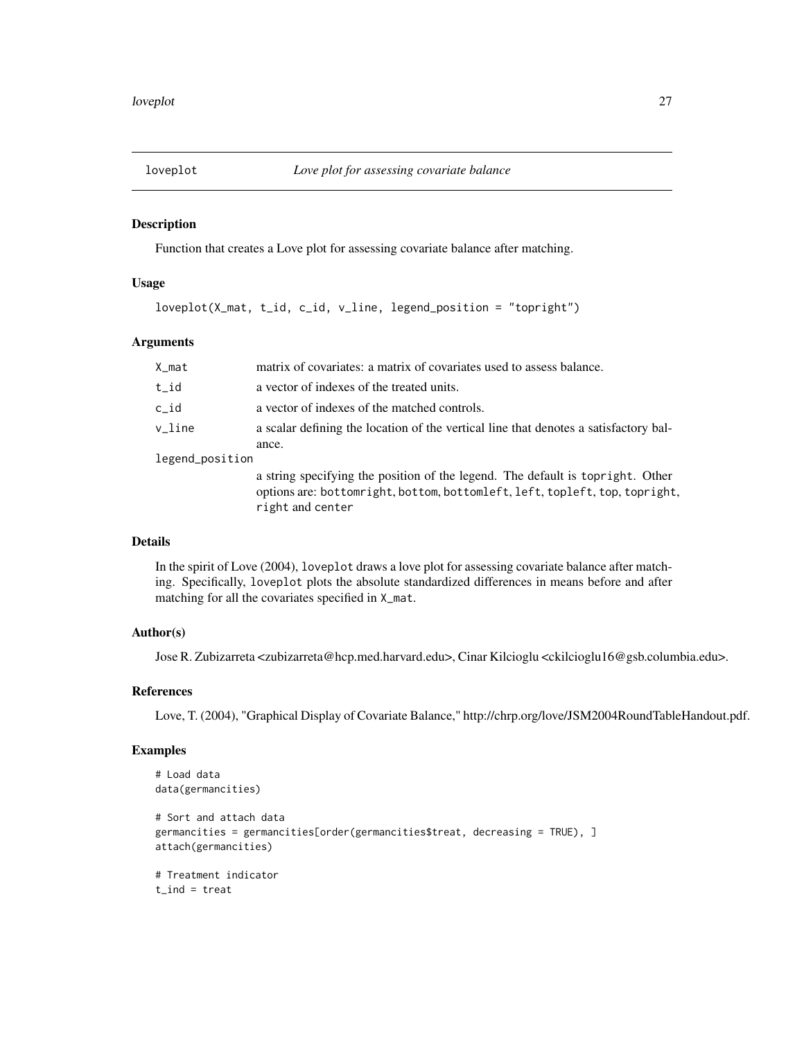<span id="page-26-0"></span>

Function that creates a Love plot for assessing covariate balance after matching.

# Usage

loveplot(X\_mat, t\_id, c\_id, v\_line, legend\_position = "topright")

# Arguments

| X_mat           | matrix of covariates: a matrix of covariates used to assess balance.                                                                                                              |
|-----------------|-----------------------------------------------------------------------------------------------------------------------------------------------------------------------------------|
| t_id            | a vector of indexes of the treated units.                                                                                                                                         |
| c_id            | a vector of indexes of the matched controls.                                                                                                                                      |
| v line          | a scalar defining the location of the vertical line that denotes a satisfactory bal-                                                                                              |
|                 | ance.                                                                                                                                                                             |
| legend_position |                                                                                                                                                                                   |
|                 | a string specifying the position of the legend. The default is topright. Other<br>options are: bottomright, bottom, bottomleft, left, topleft, top, topright,<br>right and center |

# Details

In the spirit of Love (2004), loveplot draws a love plot for assessing covariate balance after matching. Specifically, loveplot plots the absolute standardized differences in means before and after matching for all the covariates specified in X\_mat.

# Author(s)

Jose R. Zubizarreta <zubizarreta@hcp.med.harvard.edu>, Cinar Kilcioglu <ckilcioglu16@gsb.columbia.edu>.

# References

Love, T. (2004), "Graphical Display of Covariate Balance," http://chrp.org/love/JSM2004RoundTableHandout.pdf.

# Examples

```
# Load data
data(germancities)
# Sort and attach data
germancities = germancities[order(germancities$treat, decreasing = TRUE), ]
attach(germancities)
# Treatment indicator
t<sub>l</sub>ind = treat
```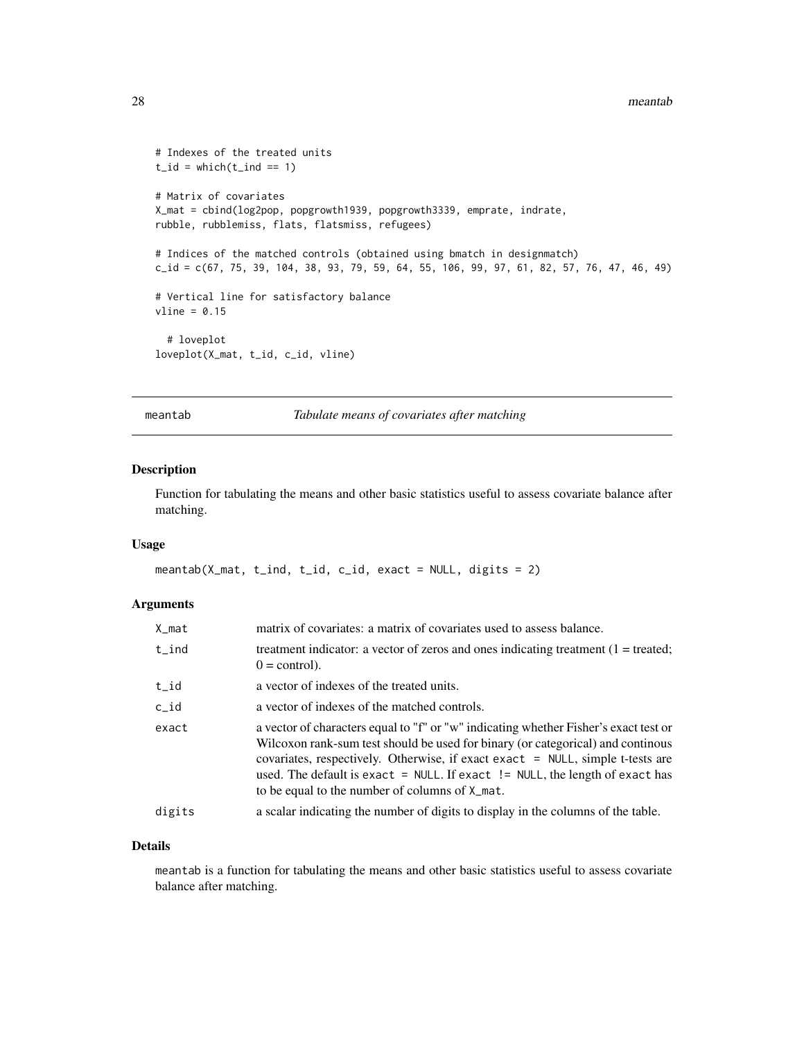```
# Indexes of the treated units
t_id = which(t_id == 1)# Matrix of covariates
X_mat = cbind(log2pop, popgrowth1939, popgrowth3339, emprate, indrate,
rubble, rubblemiss, flats, flatsmiss, refugees)
# Indices of the matched controls (obtained using bmatch in designmatch)
c_id = c(67, 75, 39, 104, 38, 93, 79, 59, 64, 55, 106, 99, 97, 61, 82, 57, 76, 47, 46, 49)
# Vertical line for satisfactory balance
vline = 0.15# loveplot
loveplot(X_mat, t_id, c_id, vline)
```
meantab *Tabulate means of covariates after matching*

# Description

Function for tabulating the means and other basic statistics useful to assess covariate balance after matching.

#### Usage

```
meantab(X_mat, t_ind, t_id, c_id, exact = NULL, digits = 2)
```
#### Arguments

| X_mat  | matrix of covariates: a matrix of covariates used to assess balance.                                                                                                                                                                                                                                                                                                                            |
|--------|-------------------------------------------------------------------------------------------------------------------------------------------------------------------------------------------------------------------------------------------------------------------------------------------------------------------------------------------------------------------------------------------------|
| t_ind  | treatment indicator: a vector of zeros and ones indicating treatment $(1 = \text{treated})$ ;<br>$0 = \text{control}$ .                                                                                                                                                                                                                                                                         |
| t_id   | a vector of indexes of the treated units.                                                                                                                                                                                                                                                                                                                                                       |
| c_id   | a vector of indexes of the matched controls.                                                                                                                                                                                                                                                                                                                                                    |
| exact  | a vector of characters equal to "f" or "w" indicating whether Fisher's exact test or<br>Wilcoxon rank-sum test should be used for binary (or categorical) and continous<br>covariates, respectively. Otherwise, if exact exact = NULL, simple t-tests are<br>used. The default is exact $=$ NULL. If exact $!=$ NULL, the length of exact has<br>to be equal to the number of columns of X_mat. |
| digits | a scalar indicating the number of digits to display in the columns of the table.                                                                                                                                                                                                                                                                                                                |

# Details

meantab is a function for tabulating the means and other basic statistics useful to assess covariate balance after matching.

<span id="page-27-0"></span>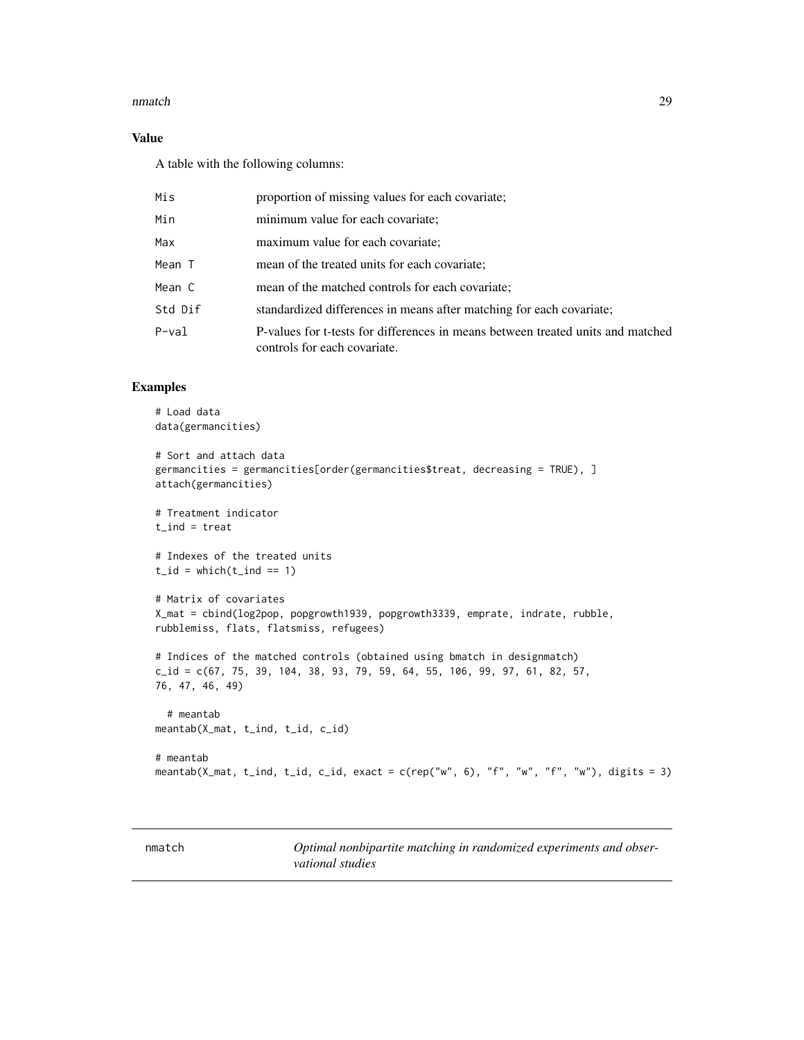#### <span id="page-28-0"></span>nmatch 29

# Value

A table with the following columns:

| Mis     | proportion of missing values for each covariate;                                                                |
|---------|-----------------------------------------------------------------------------------------------------------------|
| Min     | minimum value for each covariate;                                                                               |
| Max     | maximum value for each covariate;                                                                               |
| Mean T  | mean of the treated units for each covariate;                                                                   |
| Mean C  | mean of the matched controls for each covariate;                                                                |
| Std Dif | standardized differences in means after matching for each covariate;                                            |
| P-val   | P-values for t-tests for differences in means between treated units and matched<br>controls for each covariate. |

# Examples

```
# Load data
data(germancities)
# Sort and attach data
germancities = germancities[order(germancities$treat, decreasing = TRUE), ]
attach(germancities)
# Treatment indicator
t<sub>l</sub>ind = treat
# Indexes of the treated units
t_id = which(t_id == 1)# Matrix of covariates
X_mat = cbind(log2pop, popgrowth1939, popgrowth3339, emprate, indrate, rubble,
rubblemiss, flats, flatsmiss, refugees)
# Indices of the matched controls (obtained using bmatch in designmatch)
c_id = c(67, 75, 39, 104, 38, 93, 79, 59, 64, 55, 106, 99, 97, 61, 82, 57,76, 47, 46, 49)
  # meantab
meantab(X_mat, t_ind, t_id, c_id)
# meantab
meantab(X_mat, t_ind, t_id, c_id, exact = c(rep("w", 6), "f", "w", "f", "w"), digits = 3)
```

| nmatch |
|--------|
|--------|

Optimal nonbipartite matching in randomized experiments and obser*vational studies*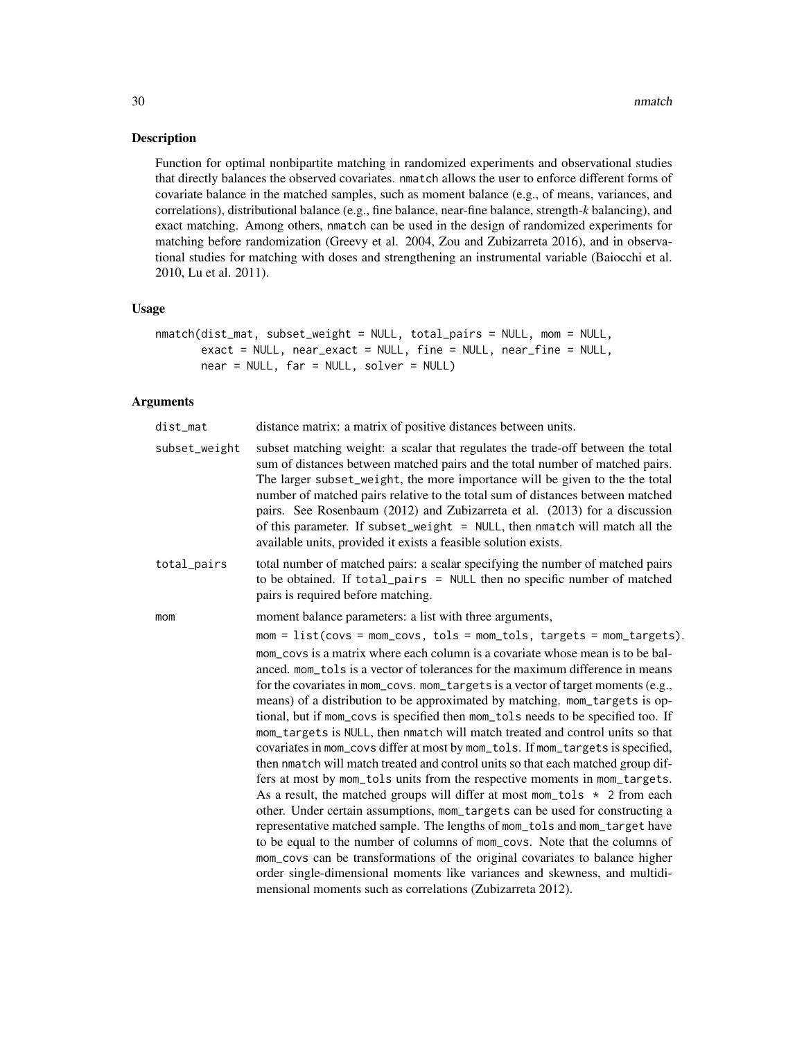Function for optimal nonbipartite matching in randomized experiments and observational studies that directly balances the observed covariates. nmatch allows the user to enforce different forms of covariate balance in the matched samples, such as moment balance (e.g., of means, variances, and correlations), distributional balance (e.g., fine balance, near-fine balance, strength-*k* balancing), and exact matching. Among others, nmatch can be used in the design of randomized experiments for matching before randomization (Greevy et al. 2004, Zou and Zubizarreta 2016), and in observational studies for matching with doses and strengthening an instrumental variable (Baiocchi et al. 2010, Lu et al. 2011).

# Usage

```
nmatch(dist_mat, subset_weight = NULL, total_pairs = NULL, mom = NULL,
      exact = NULL, near_exact = NULL, fine = NULL, near_fine = NULL,
      near = NULL, far = NULL, solver = NULL)
```
# Arguments

| dist_mat      | distance matrix: a matrix of positive distances between units.                                                                                                                                                                                                                                                                                                                                                                                                                                                                                                                                                                                                                                                                                                                                                                                                                                                                                                                                                                                                                                                                                                                                                                                             |
|---------------|------------------------------------------------------------------------------------------------------------------------------------------------------------------------------------------------------------------------------------------------------------------------------------------------------------------------------------------------------------------------------------------------------------------------------------------------------------------------------------------------------------------------------------------------------------------------------------------------------------------------------------------------------------------------------------------------------------------------------------------------------------------------------------------------------------------------------------------------------------------------------------------------------------------------------------------------------------------------------------------------------------------------------------------------------------------------------------------------------------------------------------------------------------------------------------------------------------------------------------------------------------|
| subset_weight | subset matching weight: a scalar that regulates the trade-off between the total<br>sum of distances between matched pairs and the total number of matched pairs.<br>The larger subset_weight, the more importance will be given to the the total<br>number of matched pairs relative to the total sum of distances between matched<br>pairs. See Rosenbaum (2012) and Zubizarreta et al. (2013) for a discussion<br>of this parameter. If subset_weight = NULL, then nmatch will match all the<br>available units, provided it exists a feasible solution exists.                                                                                                                                                                                                                                                                                                                                                                                                                                                                                                                                                                                                                                                                                          |
| total_pairs   | total number of matched pairs: a scalar specifying the number of matched pairs<br>to be obtained. If total_pairs = NULL then no specific number of matched<br>pairs is required before matching.                                                                                                                                                                                                                                                                                                                                                                                                                                                                                                                                                                                                                                                                                                                                                                                                                                                                                                                                                                                                                                                           |
| mom           | moment balance parameters: a list with three arguments,                                                                                                                                                                                                                                                                                                                                                                                                                                                                                                                                                                                                                                                                                                                                                                                                                                                                                                                                                                                                                                                                                                                                                                                                    |
|               | $mom = list(covs = mom_covs, tols = mom_tols, targets = mom_targets).$                                                                                                                                                                                                                                                                                                                                                                                                                                                                                                                                                                                                                                                                                                                                                                                                                                                                                                                                                                                                                                                                                                                                                                                     |
|               | mom covs is a matrix where each column is a covariate whose mean is to be bal-<br>anced. mom_tols is a vector of tolerances for the maximum difference in means<br>for the covariates in mom_covs. mom_targets is a vector of target moments (e.g.,<br>means) of a distribution to be approximated by matching. mom_targets is op-<br>tional, but if mom_covs is specified then mom_tols needs to be specified too. If<br>mom_targets is NULL, then nmatch will match treated and control units so that<br>covariates in mom_covs differ at most by mom_tols. If mom_targets is specified,<br>then nmatch will match treated and control units so that each matched group dif-<br>fers at most by mom_tols units from the respective moments in mom_targets.<br>As a result, the matched groups will differ at most mom_tols $\star$ 2 from each<br>other. Under certain assumptions, mom_targets can be used for constructing a<br>representative matched sample. The lengths of mom_tols and mom_target have<br>to be equal to the number of columns of mom_covs. Note that the columns of<br>mom_covs can be transformations of the original covariates to balance higher<br>order single-dimensional moments like variances and skewness, and multidi- |
|               | mensional moments such as correlations (Zubizarreta 2012).                                                                                                                                                                                                                                                                                                                                                                                                                                                                                                                                                                                                                                                                                                                                                                                                                                                                                                                                                                                                                                                                                                                                                                                                 |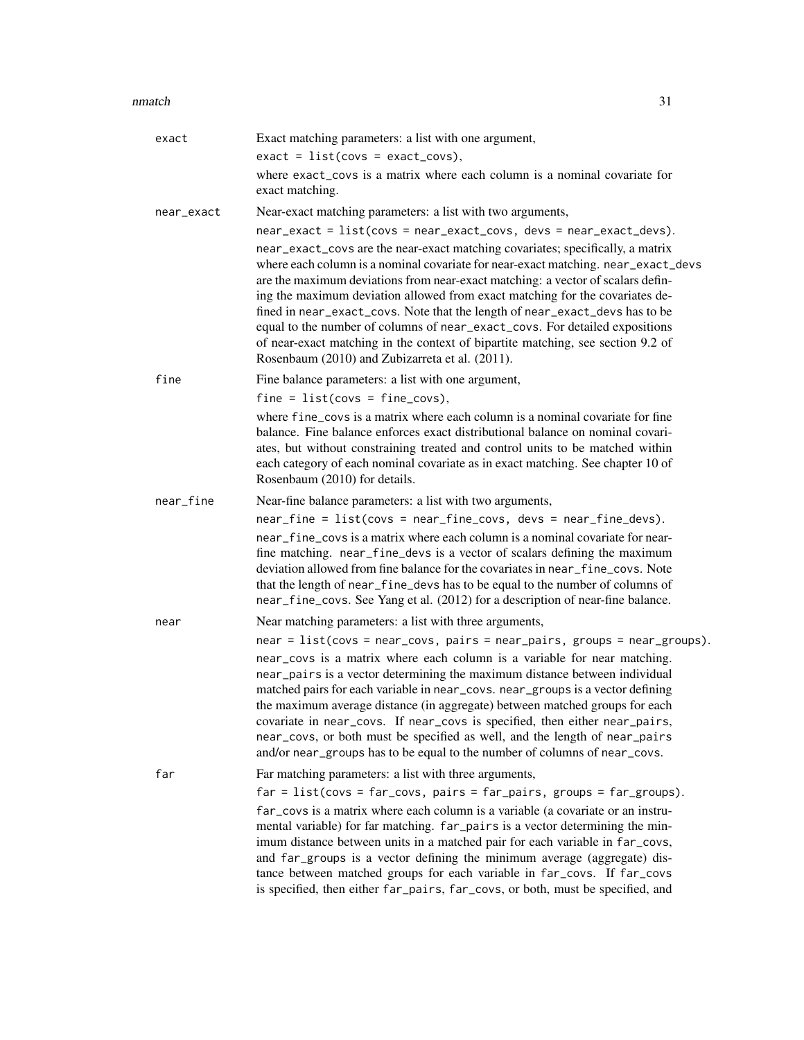#### nmatch 31

| exact      | Exact matching parameters: a list with one argument,                                                                                                                                                                                                                                                                                                                                                                                                                                                                                                                                                                                           |
|------------|------------------------------------------------------------------------------------------------------------------------------------------------------------------------------------------------------------------------------------------------------------------------------------------------------------------------------------------------------------------------------------------------------------------------------------------------------------------------------------------------------------------------------------------------------------------------------------------------------------------------------------------------|
|            | $exact = list(covs = exact_covs),$                                                                                                                                                                                                                                                                                                                                                                                                                                                                                                                                                                                                             |
|            | where exact_covs is a matrix where each column is a nominal covariate for<br>exact matching.                                                                                                                                                                                                                                                                                                                                                                                                                                                                                                                                                   |
| near_exact | Near-exact matching parameters: a list with two arguments,                                                                                                                                                                                                                                                                                                                                                                                                                                                                                                                                                                                     |
|            | near_exact = list(covs = near_exact_covs, devs = near_exact_devs).<br>near_exact_covs are the near-exact matching covariates; specifically, a matrix<br>where each column is a nominal covariate for near-exact matching. near_exact_devs<br>are the maximum deviations from near-exact matching: a vector of scalars defin-<br>ing the maximum deviation allowed from exact matching for the covariates de-<br>fined in near_exact_covs. Note that the length of near_exact_devs has to be<br>equal to the number of columns of near_exact_covs. For detailed expositions                                                                     |
|            | of near-exact matching in the context of bipartite matching, see section 9.2 of<br>Rosenbaum (2010) and Zubizarreta et al. (2011).                                                                                                                                                                                                                                                                                                                                                                                                                                                                                                             |
| fine       | Fine balance parameters: a list with one argument,                                                                                                                                                                                                                                                                                                                                                                                                                                                                                                                                                                                             |
|            | $fine = list(covs = fine_covs),$                                                                                                                                                                                                                                                                                                                                                                                                                                                                                                                                                                                                               |
|            | where fine_covs is a matrix where each column is a nominal covariate for fine<br>balance. Fine balance enforces exact distributional balance on nominal covari-<br>ates, but without constraining treated and control units to be matched within<br>each category of each nominal covariate as in exact matching. See chapter 10 of<br>Rosenbaum (2010) for details.                                                                                                                                                                                                                                                                           |
| near_fine  | Near-fine balance parameters: a list with two arguments,                                                                                                                                                                                                                                                                                                                                                                                                                                                                                                                                                                                       |
|            | near_fine = list(covs = near_fine_covs, devs = near_fine_devs).<br>near_fine_covs is a matrix where each column is a nominal covariate for near-<br>fine matching. near_fine_devs is a vector of scalars defining the maximum<br>deviation allowed from fine balance for the covariates in near_fine_covs. Note<br>that the length of near_fine_devs has to be equal to the number of columns of<br>near_fine_covs. See Yang et al. (2012) for a description of near-fine balance.                                                                                                                                                             |
| near       | Near matching parameters: a list with three arguments,                                                                                                                                                                                                                                                                                                                                                                                                                                                                                                                                                                                         |
|            | $near = list(covs = near_covs, pairs = near_pairs, groups = near_groups).$<br>near_covs is a matrix where each column is a variable for near matching.<br>near_pairs is a vector determining the maximum distance between individual<br>matched pairs for each variable in near_covs. near_groups is a vector defining<br>the maximum average distance (in aggregate) between matched groups for each<br>covariate in near_covs. If near_covs is specified, then either near_pairs,<br>near_covs, or both must be specified as well, and the length of near_pairs<br>and/or near_groups has to be equal to the number of columns of near_covs. |
| far        | Far matching parameters: a list with three arguments,                                                                                                                                                                                                                                                                                                                                                                                                                                                                                                                                                                                          |
|            | $far = list(covs = far_covs, pairs = far_pairs, groups = far_grows).$                                                                                                                                                                                                                                                                                                                                                                                                                                                                                                                                                                          |
|            | far_covs is a matrix where each column is a variable (a covariate or an instru-<br>mental variable) for far matching. far_pairs is a vector determining the min-<br>imum distance between units in a matched pair for each variable in far_covs,<br>and far_groups is a vector defining the minimum average (aggregate) dis-<br>tance between matched groups for each variable in far_covs. If far_covs<br>is specified, then either far_pairs, far_covs, or both, must be specified, and                                                                                                                                                      |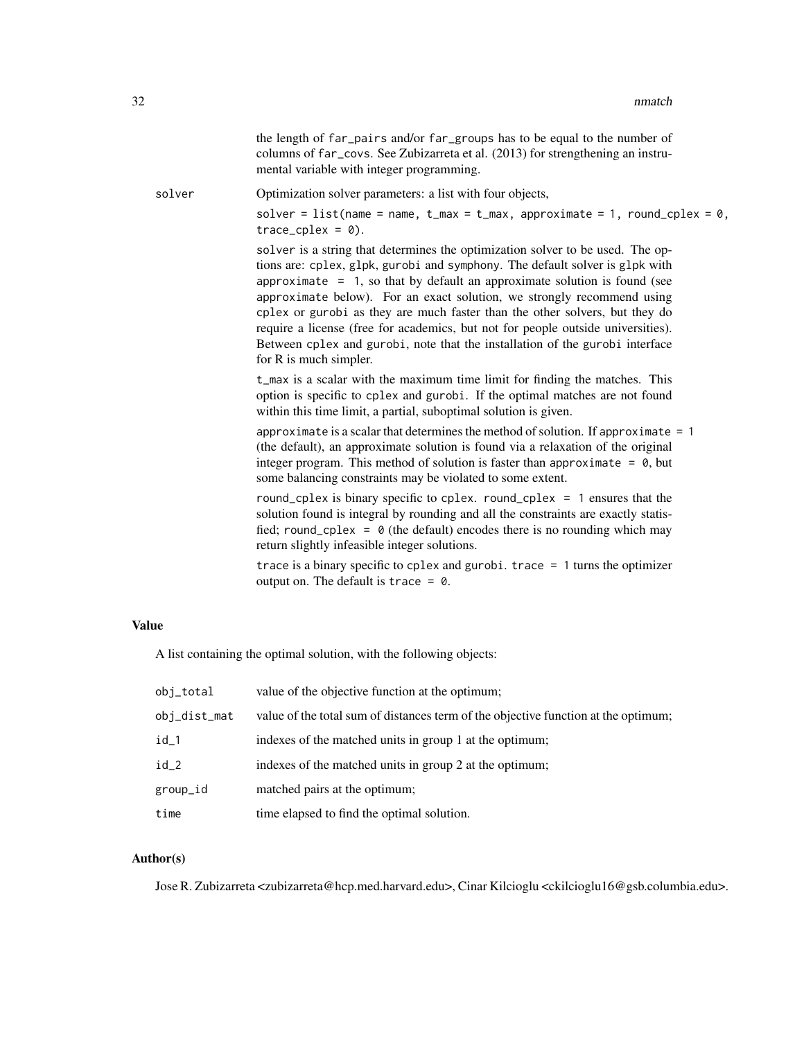|              | the length of far_pairs and/or far_groups has to be equal to the number of<br>columns of far_covs. See Zubizarreta et al. (2013) for strengthening an instru-<br>mental variable with integer programming.                                                                                                                                                                                                                                                                                                                                                                                            |
|--------------|-------------------------------------------------------------------------------------------------------------------------------------------------------------------------------------------------------------------------------------------------------------------------------------------------------------------------------------------------------------------------------------------------------------------------------------------------------------------------------------------------------------------------------------------------------------------------------------------------------|
| solver       | Optimization solver parameters: a list with four objects,                                                                                                                                                                                                                                                                                                                                                                                                                                                                                                                                             |
|              | solver = list(name = name, $t_{max} = t_{max}$ , approximate = 1, round_cplex = 0,<br>$trace_cplex = 0$ ).                                                                                                                                                                                                                                                                                                                                                                                                                                                                                            |
|              | solver is a string that determines the optimization solver to be used. The op-<br>tions are: cplex, glpk, gurobi and symphony. The default solver is glpk with<br>approximate $= 1$ , so that by default an approximate solution is found (see<br>approximate below). For an exact solution, we strongly recommend using<br>cplex or gurobi as they are much faster than the other solvers, but they do<br>require a license (free for academics, but not for people outside universities).<br>Between cplex and gurobi, note that the installation of the gurobi interface<br>for R is much simpler. |
|              | t_max is a scalar with the maximum time limit for finding the matches. This<br>option is specific to cplex and gurobi. If the optimal matches are not found<br>within this time limit, a partial, suboptimal solution is given.                                                                                                                                                                                                                                                                                                                                                                       |
|              | approximate is a scalar that determines the method of solution. If approximate $= 1$<br>(the default), an approximate solution is found via a relaxation of the original<br>integer program. This method of solution is faster than approximate = $\theta$ , but<br>some balancing constraints may be violated to some extent.                                                                                                                                                                                                                                                                        |
|              | round_cplex is binary specific to cplex. round_cplex = $1$ ensures that the<br>solution found is integral by rounding and all the constraints are exactly statis-<br>fied; round_cplex = $\theta$ (the default) encodes there is no rounding which may<br>return slightly infeasible integer solutions.                                                                                                                                                                                                                                                                                               |
|              | trace is a binary specific to cplex and gurobi. trace $= 1$ turns the optimizer<br>output on. The default is trace = $\theta$ .                                                                                                                                                                                                                                                                                                                                                                                                                                                                       |
| <b>Value</b> |                                                                                                                                                                                                                                                                                                                                                                                                                                                                                                                                                                                                       |
|              | A list containing the optimal solution, with the following objects:                                                                                                                                                                                                                                                                                                                                                                                                                                                                                                                                   |
|              | . In the contract of the contract of the contract of the contract of the contract of the contract of the contract of the contract of the contract of the contract of the contract of the contract of the contract of the cont                                                                                                                                                                                                                                                                                                                                                                         |

| $obj\_total$ | value of the objective function at the optimum;                                    |
|--------------|------------------------------------------------------------------------------------|
| obj_dist_mat | value of the total sum of distances term of the objective function at the optimum; |
| id_1         | indexes of the matched units in group 1 at the optimum;                            |
| $id_2$       | indexes of the matched units in group 2 at the optimum;                            |
| group_id     | matched pairs at the optimum;                                                      |
| time         | time elapsed to find the optimal solution.                                         |

# Author(s)

Jose R. Zubizarreta <zubizarreta@hcp.med.harvard.edu>, Cinar Kilcioglu <ckilcioglu16@gsb.columbia.edu>.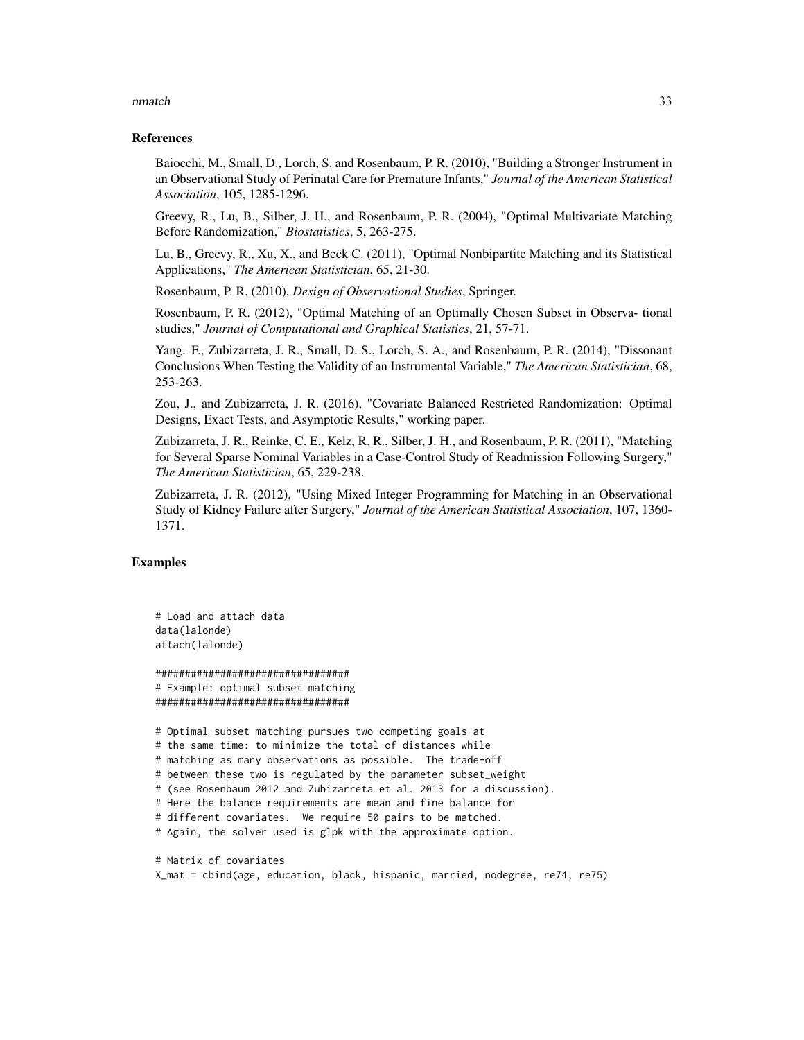#### nmatch 33

#### References

Baiocchi, M., Small, D., Lorch, S. and Rosenbaum, P. R. (2010), "Building a Stronger Instrument in an Observational Study of Perinatal Care for Premature Infants," *Journal of the American Statistical Association*, 105, 1285-1296.

Greevy, R., Lu, B., Silber, J. H., and Rosenbaum, P. R. (2004), "Optimal Multivariate Matching Before Randomization," *Biostatistics*, 5, 263-275.

Lu, B., Greevy, R., Xu, X., and Beck C. (2011), "Optimal Nonbipartite Matching and its Statistical Applications," *The American Statistician*, 65, 21-30.

Rosenbaum, P. R. (2010), *Design of Observational Studies*, Springer.

Rosenbaum, P. R. (2012), "Optimal Matching of an Optimally Chosen Subset in Observa- tional studies," *Journal of Computational and Graphical Statistics*, 21, 57-71.

Yang. F., Zubizarreta, J. R., Small, D. S., Lorch, S. A., and Rosenbaum, P. R. (2014), "Dissonant Conclusions When Testing the Validity of an Instrumental Variable," *The American Statistician*, 68, 253-263.

Zou, J., and Zubizarreta, J. R. (2016), "Covariate Balanced Restricted Randomization: Optimal Designs, Exact Tests, and Asymptotic Results," working paper.

Zubizarreta, J. R., Reinke, C. E., Kelz, R. R., Silber, J. H., and Rosenbaum, P. R. (2011), "Matching for Several Sparse Nominal Variables in a Case-Control Study of Readmission Following Surgery," *The American Statistician*, 65, 229-238.

Zubizarreta, J. R. (2012), "Using Mixed Integer Programming for Matching in an Observational Study of Kidney Failure after Surgery," *Journal of the American Statistical Association*, 107, 1360- 1371.

# Examples

```
# Load and attach data
data(lalonde)
attach(lalonde)
```
################################# # Example: optimal subset matching #################################

# Optimal subset matching pursues two competing goals at # the same time: to minimize the total of distances while # matching as many observations as possible. The trade-off # between these two is regulated by the parameter subset\_weight # (see Rosenbaum 2012 and Zubizarreta et al. 2013 for a discussion). # Here the balance requirements are mean and fine balance for # different covariates. We require 50 pairs to be matched. # Again, the solver used is glpk with the approximate option.

# Matrix of covariates X\_mat = cbind(age, education, black, hispanic, married, nodegree, re74, re75)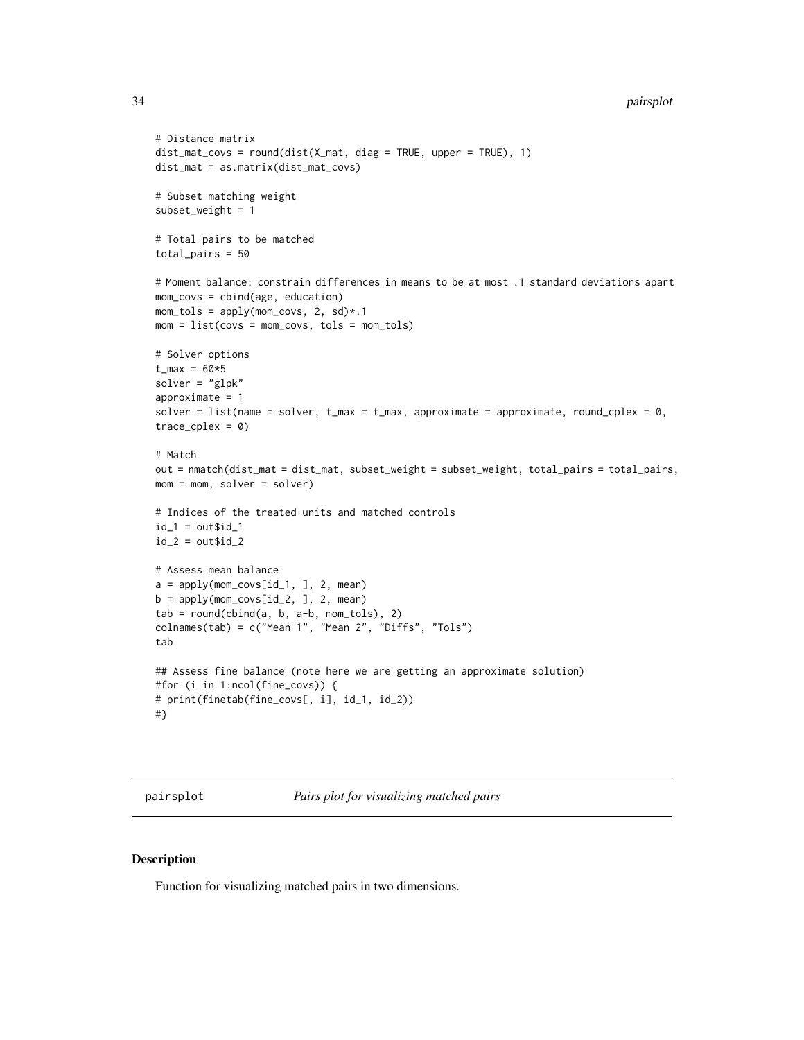#### 34 pairsplot

```
# Distance matrix
dist_mat_covs = round(dist(X_mat, diag = TRUE, upper = TRUE), 1)
dist_mat = as.matrix(dist_mat_covs)
# Subset matching weight
subset_weight = 1
# Total pairs to be matched
total_pairs = 50# Moment balance: constrain differences in means to be at most .1 standard deviations apart
mom_covs = cbind(age, education)
mom\_tols = apply(mom\_covs, 2, sd)*.1mom = list(covs = mom\_covs, tols = mom\_tols)# Solver options
t_{max} = 60*5solver = "glpk"
approximate = 1
solver = list(name = solver, t_{max} = t_{max}, approximate = approximate, round_cplex = 0,
trace_cplex = 0# Match
out = nmatch(dist_mat = dist_mat, subset_weight = subset_weight, total_pairs = total_pairs,
mom = mom, solver = solver)
# Indices of the treated units and matched controls
id_1 = out$id_1id_2 = out$id_2# Assess mean balance
a = apply(mom_covs[id_1, ], 2, mean)b = apply(mom\_covs[id_2, ], 2, mean)tab = round(cbind(a, b, a-b, mom_tols), 2)
colnames(tab) = c("Mean 1", "Mean 2", "Diffs", "Tols")
tab
## Assess fine balance (note here we are getting an approximate solution)
#for (i in 1:ncol(fine_covs)) {
# print(finetab(fine_covs[, i], id_1, id_2))
#}
```
pairsplot *Pairs plot for visualizing matched pairs*

# Description

Function for visualizing matched pairs in two dimensions.

<span id="page-33-0"></span>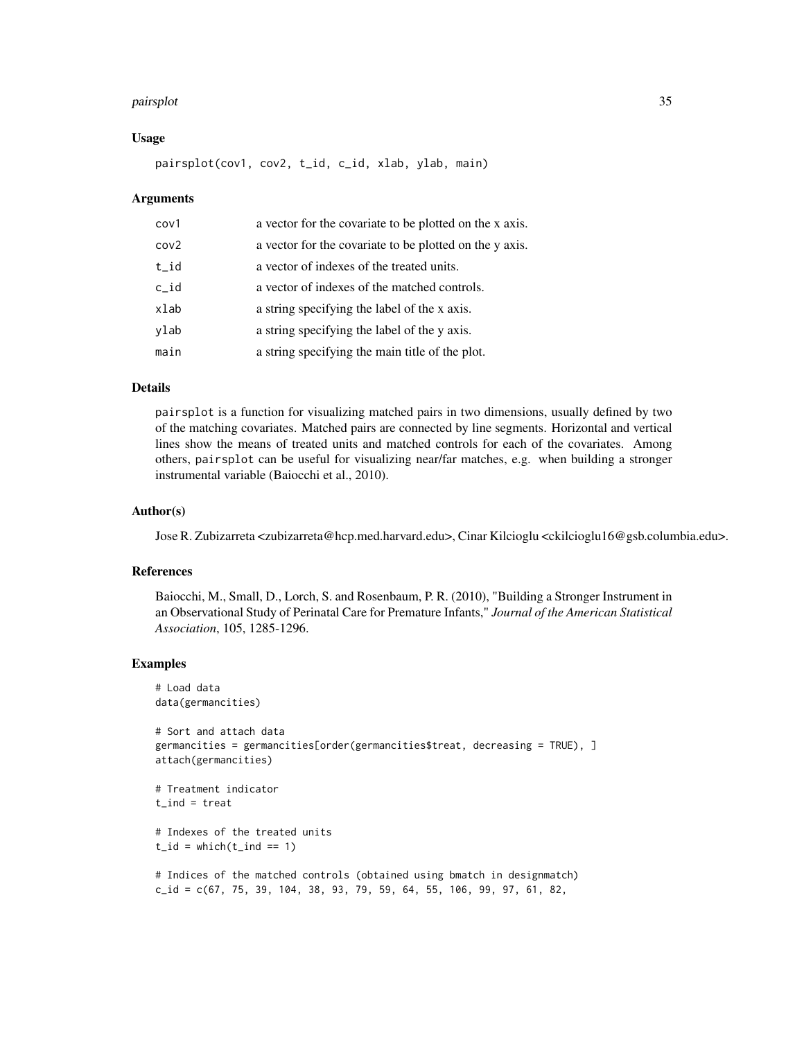#### pairsplot 35

# Usage

pairsplot(cov1, cov2, t\_id, c\_id, xlab, ylab, main)

# Arguments

| cov1 | a vector for the covariate to be plotted on the x axis. |
|------|---------------------------------------------------------|
| cov2 | a vector for the covariate to be plotted on the y axis. |
| t_id | a vector of indexes of the treated units.               |
| c_id | a vector of indexes of the matched controls.            |
| xlab | a string specifying the label of the x axis.            |
| ylab | a string specifying the label of the y axis.            |
| main | a string specifying the main title of the plot.         |

# Details

pairsplot is a function for visualizing matched pairs in two dimensions, usually defined by two of the matching covariates. Matched pairs are connected by line segments. Horizontal and vertical lines show the means of treated units and matched controls for each of the covariates. Among others, pairsplot can be useful for visualizing near/far matches, e.g. when building a stronger instrumental variable (Baiocchi et al., 2010).

#### Author(s)

Jose R. Zubizarreta <zubizarreta@hcp.med.harvard.edu>, Cinar Kilcioglu <ckilcioglu16@gsb.columbia.edu>.

# References

Baiocchi, M., Small, D., Lorch, S. and Rosenbaum, P. R. (2010), "Building a Stronger Instrument in an Observational Study of Perinatal Care for Premature Infants," *Journal of the American Statistical Association*, 105, 1285-1296.

# Examples

# Load data data(germancities)

```
# Sort and attach data
germancities = germancities[order(germancities$treat, decreasing = TRUE), ]
attach(germancities)
```

```
# Treatment indicator
t_ind = treat
```

```
# Indexes of the treated units
t_id = which(t_id == 1)
```

```
# Indices of the matched controls (obtained using bmatch in designmatch)
c_id = c(67, 75, 39, 104, 38, 93, 79, 59, 64, 55, 106, 99, 97, 61, 82,
```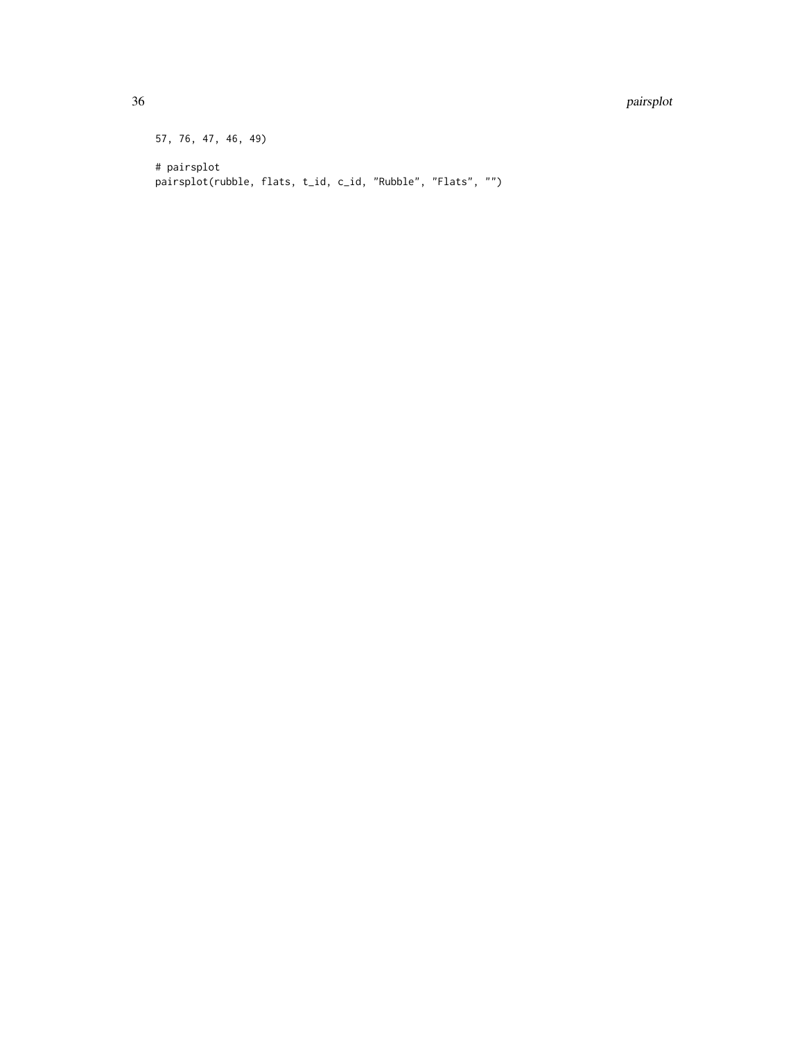#### 36 pairsplot

57, 76, 47, 46, 49) # pairsplot pairsplot(rubble, flats, t\_id, c\_id, "Rubble", "Flats", "")